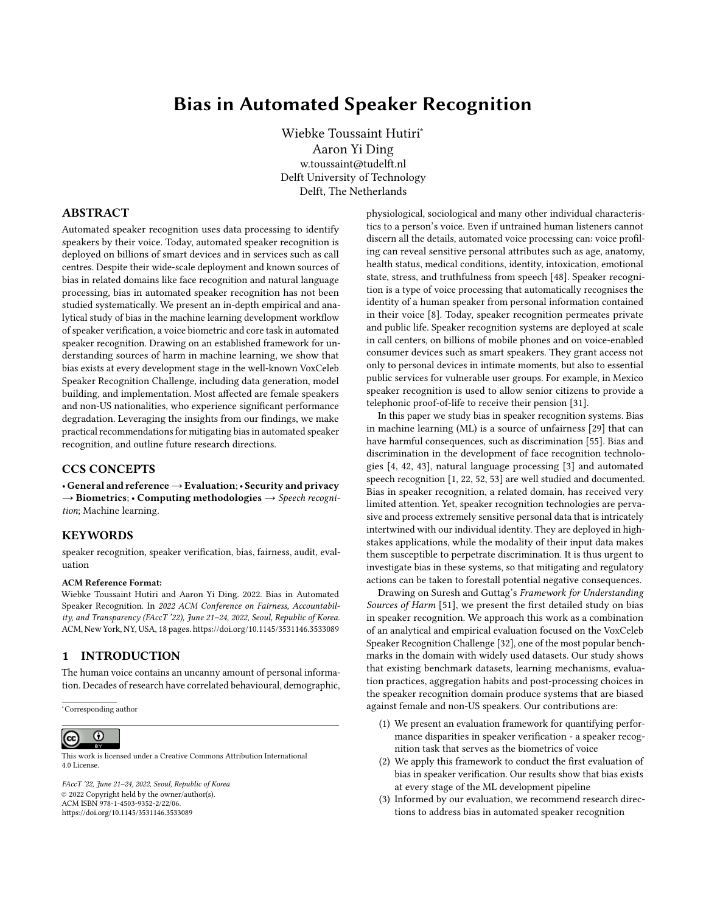# Bias in Automated Speaker Recognition

[Wiebke Toussaint Hutiri](https://orcid.org/)<sup>∗</sup> [Aaron Yi Ding](https://orcid.org/) w.toussaint@tudelft.nl Delft University of Technology Delft, The Netherlands

### ABSTRACT

Automated speaker recognition uses data processing to identify speakers by their voice. Today, automated speaker recognition is deployed on billions of smart devices and in services such as call centres. Despite their wide-scale deployment and known sources of bias in related domains like face recognition and natural language processing, bias in automated speaker recognition has not been studied systematically. We present an in-depth empirical and analytical study of bias in the machine learning development workflow of speaker verification, a voice biometric and core task in automated speaker recognition. Drawing on an established framework for understanding sources of harm in machine learning, we show that bias exists at every development stage in the well-known VoxCeleb Speaker Recognition Challenge, including data generation, model building, and implementation. Most affected are female speakers and non-US nationalities, who experience significant performance degradation. Leveraging the insights from our findings, we make practical recommendations for mitigating bias in automated speaker recognition, and outline future research directions.

## CCS CONCEPTS

• General and reference→Evaluation;• Security and privacy  $\rightarrow$  Biometrics; • Computing methodologies  $\rightarrow$  Speech recognition; Machine learning.

#### **KEYWORDS**

speaker recognition, speaker verification, bias, fairness, audit, evaluation

#### ACM Reference Format:

Wiebke Toussaint Hutiri and Aaron Yi Ding. 2022. Bias in Automated Speaker Recognition. In 2022 ACM Conference on Fairness, Accountability, and Transparency (FAccT '22), June 21–24, 2022, Seoul, Republic of Korea. ACM, New York, NY, USA, 18 pages.<https://doi.org/10.1145/3531146.3533089>

#### 1 INTRODUCTION

The human voice contains an uncanny amount of personal information. Decades of research have correlated behavioural, demographic,

<sup>∗</sup>Corresponding author

#### $\overline{\rm o}$  $(cc)$

This work is licensed under a [Creative Commons Attribution International](https://creativecommons.org/licenses/by/4.0/) [4.0 License.](https://creativecommons.org/licenses/by/4.0/)

FAccT '22, June 21–24, 2022, Seoul, Republic of Korea © 2022 Copyright held by the owner/author(s). ACM ISBN 978-1-4503-9352-2/22/06. <https://doi.org/10.1145/3531146.3533089>

physiological, sociological and many other individual characteristics to a person's voice. Even if untrained human listeners cannot discern all the details, automated voice processing can: voice profiling can reveal sensitive personal attributes such as age, anatomy, health status, medical conditions, identity, intoxication, emotional state, stress, and truthfulness from speech [48]. Speaker recognition is a type of voice processing that automatically recognises the identity of a human speaker from personal information contained in their voice [8]. Today, speaker recognition permeates private and public life. Speaker recognition systems are deployed at scale in call centers, on billions of mobile phones and on voice-enabled consumer devices such as smart speakers. They grant access not only to personal devices in intimate moments, but also to essential public services for vulnerable user groups. For example, in Mexico speaker recognition is used to allow senior citizens to provide a telephonic proof-of-life to receive their pension [31].

In this paper we study bias in speaker recognition systems. Bias in machine learning (ML) is a source of unfairness [29] that can have harmful consequences, such as discrimination [55]. Bias and discrimination in the development of face recognition technologies [4, 42, 43], natural language processing [3] and automated speech recognition [1, 22, 52, 53] are well studied and documented. Bias in speaker recognition, a related domain, has received very limited attention. Yet, speaker recognition technologies are pervasive and process extremely sensitive personal data that is intricately intertwined with our individual identity. They are deployed in highstakes applications, while the modality of their input data makes them susceptible to perpetrate discrimination. It is thus urgent to investigate bias in these systems, so that mitigating and regulatory actions can be taken to forestall potential negative consequences.

Drawing on Suresh and Guttag's Framework for Understanding Sources of Harm [51], we present the first detailed study on bias in speaker recognition. We approach this work as a combination of an analytical and empirical evaluation focused on the VoxCeleb Speaker Recognition Challenge [32], one of the most popular benchmarks in the domain with widely used datasets. Our study shows that existing benchmark datasets, learning mechanisms, evaluation practices, aggregation habits and post-processing choices in the speaker recognition domain produce systems that are biased against female and non-US speakers. Our contributions are:

- (1) We present an evaluation framework for quantifying performance disparities in speaker verification - a speaker recognition task that serves as the biometrics of voice
- (2) We apply this framework to conduct the first evaluation of bias in speaker verification. Our results show that bias exists at every stage of the ML development pipeline
- (3) Informed by our evaluation, we recommend research directions to address bias in automated speaker recognition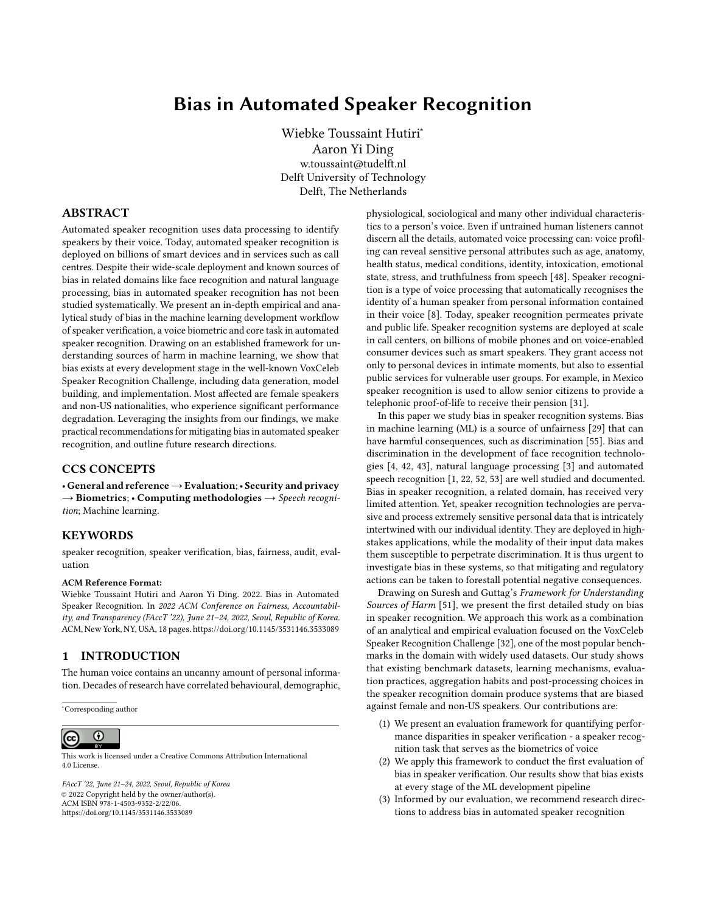Our paper is structured as follows. In Section 2 and 3 we review related work and provide a background on speaker recognition, its evaluation and supporting infrastructure for its development. We then present the empirical experiment setup and bias evaluation framework in Section 4. In Section 5 we present our findings of bias in data generation, and in Section 6 our findings of bias in model building and implementation. We discuss our findings, and make recommendations for mitigating bias in speaker recognition in Section 7. Finally, we conclude in Section 8.

#### 2 RELATED WORK

In this section we provide a background on speaker recognition within its historical development context and present evidence of bias in the domain. We then introduce the theoretical framework on which we base our analytical and empirical bias evaluation.

# 2.1 Historical Development of Automated Speaker Recognition

Since its inception, research into speaker recognition has enabled voice-based applications for access control, transaction authentication, forensics, law enforcement, speech data management, personalisation and many others [44]. As a voice-based biometric, speaker verification is viewed to have several advantages: it is physically non-intrusive, system users have historically considered it to be non-threatening, microphone sensors are ubiquitously available in telephone and mobile systems or can be installed at low-cost if they are not, and in many remote applications speech is the only form of biometrics available [44]. Given the proliferation of speaker recognition systems in digital surveillance technologies, concerns over its pervasive, hidden and invasive nature are rising [24].

2.1.1 Parallels to Facial Recognition. The historical development of automated speaker recognition reflects that of facial recognition in many aspects. Similar to the development of facial recognition systems [43], research in early speaker recognition systems was supported by defense agencies, with envisioned applications in national security domains such as forensics [9]. The systems relied on datasets constructed from telephone corpuses and their development was greatly accelerated through coordinated, regular competitions and benchmarks.

2.1.2 From Classical Approaches to Deep Neural Networks. Two years after the deep learning breakthroughs in computer vision, Deep Neural Networks (DNNs) were first applied to speaker recognition systems [14]. Since 2016, DNNs have become the dominant technique for developing speaker recognition systems [23, 49, 50]. DNNs have distinguished themselves in important ways from traditional approaches for speaker recognition: their performance is superior on short speech utterances [50], they can be trained in an end-to-end fashion using only speaker labels, thus reducing laborious labelling efforts [14], and they can leverage many of the techniques that have demonstrated success in the image recognition domain. To enable the new era of deep speaker recognition, large scale datasets were needed to support research in this emerging area, and methods for generating them adapted approaches from face recognition. For example, a popular speaker recognition dataset, VoxCeleb [34], is derived from the voice signals in Youtube

videos of celebrities contained in the well-known face recognition dataset VGG Face [40]. Another dataset, MOBIO [18], was developed jointly for mobile face recognition and speaker recognition.

#### 2.2 Bias in Speaker and Speech Recognition

2.2.1 Early Evidence of Bias in Speaker Recognition. It is well established that speaker characteristics such as age, accent and gender affect the performance of speaker recognition [11]. In acknowledgement of this, past works in speech science, like research promoted through the 2013 Speaker Recognition Evaluation in Mobile Environments challenge, have reported speaker recognition performance separately for male and female speakers [19]. The submissions to the challenge made it clear that bias is a cause of concerns: of 12 submissions, all submitted systems performed worse for females than for males on the evaluation set. On average the error rate for females was 49.35% greater than for males. Despite these performance differences being acknowledged, they went unquestioned and were attributed solely to an unbalanced training set that contained a male:female speaker ratio of 2:1. In later works the discrepancy between female and male speakers is still evident and reported, but remains unquestioned and unaddressed [39]. Historically, a common approach to avoid gender-based bias has been to develop separate models for female and male speakers [21]. While this may be insufficient to eradicate bias, generating separate feature sets for female and male speakers can reduce it [27]. Beyond considering binary gender, evaluating demographic performance gaps based on other speaker attributes is less common, and intersectional speaker subgroups have not been considered.

2.2.2 Nuanced Evaluation No Longer Common Practice. Since the adoption of Deep Neural Networks (DNNs) for speaker recognition, practices of evaluating system performance for speaker subgroups seem to have disappeared. Several system properties beyond performance have been considered in recent years, such as robustness [2] and privacy [35]. However, research in robustness and privacy in speaker recognition does not address the glaring gap that remains in the domain: system performance appears biased against speaker groups based on their demographic attributes. Only one recent study investigates bias in end-to-end deep learning models based on speaker age and gender [7], reconfirming the importance of balanced training sets.

2.2.3 Bias in Automated Speech Recognition. In automated speech recognition, which is concerned with the linguistic content of voice data, not with speaker identity, recent studies have provided evidence that commercial automated caption systems have a higher word error rate for speakers of colour [52]. Similar racial disparities exist in commercial speech-to-text systems, which are strongly influenced by pronunciation and dialect [22]. Considering their shared technical backbone with facial recognition systems, and shared data input with automated speech recognition systems, we expect that bias and harms identified in these domains will also exist in speaker recognition systems. Mounting evidence of bias in facial and speech recognition, the abundance of historic evidence of bias and the vacuum of public information about bias in speaker recognition, strengthen the motivation for our work.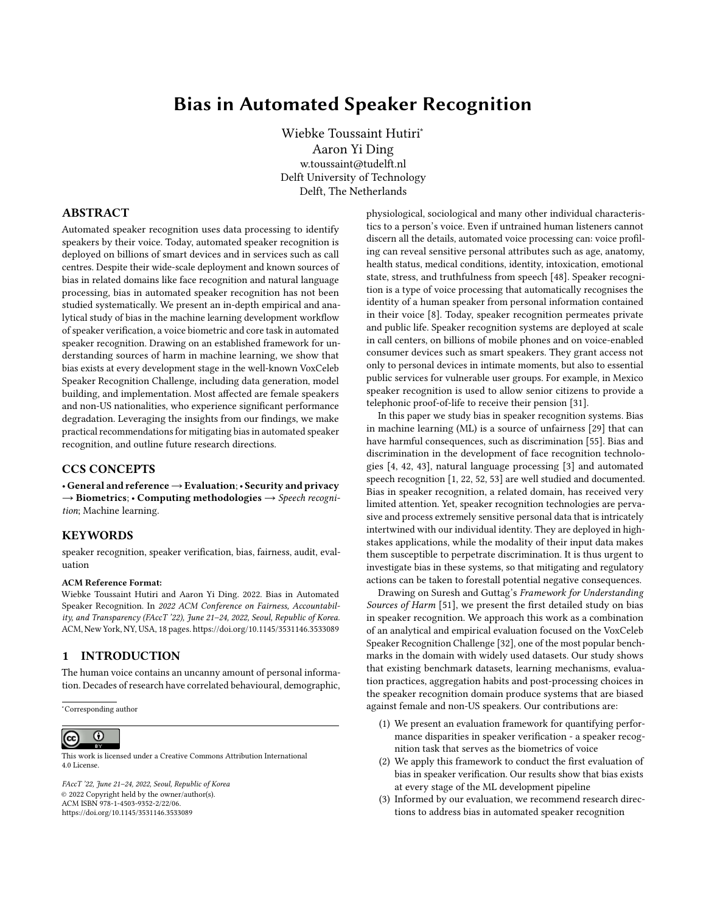### 2.3 Sources of Harm in the ML Life Cycle

We draw on Suresh and Guttag's [51] Framework for Understanding Sources of Harm through the ML life cycle to ground our investigation into bias in automated speaker recognition. Suresh and Guttag divide the ML life cycle into two streams and identify seven sources of bias related harms across the two streams: 1) the data generation stream can contain historical, representational and measurement bias; and 2) the model building and implementation stream can contain learning, aggregation, evaluation and deployment bias. Historical bias replicates bias, like stereotypes, that are present in the world as is or was. Representation bias underrepresents a subset of the population in the sample, resulting in poor generalization for that subset. Measurement bias occurs in the process of designing features and labels to use in the prediction problem. Aggregation bias arises when data contains underlying groups that should be treated separately, but that are instead subjected to uniform treatment. Learning bias concerns modeling choices and their effect on amplifying performance disparities across samples. Evaluation bias is attributed to a benchmark population that is not representative of the user population, and to evaluation metrics that provide an oversimplified view of model performance. Finally, deployment bias arises when the application context and usage environment do not match the problem space as it was conceptualised during model development.

Next we introduce automated speaker recognition, and then show analytically and empirically how these seven types of bias manifest in the speaker recognition development ecosystem.

## 3 BACKGROUND

Speaker recognition refers to the collection of data processing tasks that identify a speaker by their voice [8]. Core tasks in speaker recognition are speaker identification, which determines a speaker's identity from a subset of speakers, speaker verification, which validates if a speaker's identity matches the identity of a stored speech utterance, and speaker diarisation, which is concerned with partitioning speech to distinguish between different speakers [2]. While technical implementation details differ in the three areas, their communities overlap, they share datasets and participate in the same competitions. We focus our investigation in this paper on speaker verification, which underlies voice biometrics. However, as the tasks have evolved together, many of the biases that we uncover in speaker verification also apply to speaker identification and diarisation. In this section we provide a high level overview of speaker verification and its evaluation, as well as its supporting ecosystem of competitions and benchmarks that have advanced the field. We refer the reader to [2] for a detailed technical survey on state-of-the-art speaker recognition, and to [21] for a review on the classical speaker recognition literature prior to the advent of Deep Neural Networks (DNNs).

#### 3.1 Speaker Verification Overview

A speaker verification system determines whether a candidate speaker matches the identity of a registered speaker by comparing a candidate speaker's speech signal (i.e. trial utterance) to the speech signal of a registered speaker (i.e. enrollment utterance).

Bias in Automated Speaker Recognition FACCT '22, June 21-24, 2022, Seoul, Republic of Korea



Figure 1: Speaker verification data processing pipeline

Speaker verification is classified based on its training data as textdependent if speech signals are fixed phrases or text-independent if not, prompted if speech was produced by reading text or spontaneous if not [9]. Spontaneous text-independent speech is the type of speech that occurs naturally when a speaker interacts with a voice assistant or a call centre agent, and presents the most general speaker verification task.

As shown in Figure 1, many speaker verification systems consists of two stages, a front-end that generates a speaker embedding model for enrollment and trial utterances, and a back-end that computes a similarity score for the two resultant embeddings. Alternatively, end-to-end speaker verification directly learns a similarity score from training utterances [14]. Modern speaker verification systems use DNNs to learn the front-end embedding, or to train the end-toend system [2]. As the final step of the speaker verification process, the score output is compared to a threshold. Speaker identity is accepted if the score lies above the threshold, and rejected if it lies below the threshold.

#### 3.2 Speaker Verification Evaluation

To evaluate speaker verification systems, scores are generated for many pairs of enrollment and trial utterances. The utterance pairs are labelled as being from the same or from different speakers. Two typical score distributions generated from many same and different speaker utterance pairs are shown in Figure 6 in the Appendix. After calibrating the speaker verification system to a threshold (e.g. equal error rate or detection cost), utterance pairs with a score below the threshold are classified as different speakers and the trail utterance is rejected. Utterance pairs with a score above the threshold are classified as the same speaker, and accepted. As the two distributions overlap, classification is not perfect. At a particular threshold value there will be false positives, i.e. utterance pairs of different speakers with a score above the threshold, and false negatives, i.e. utterance pairs of the same speakers with a score below the threshold.

Speaker verification performance is determined by its false positive rate (FPR) and false negative rate (FNR) at the threshold value to which the system has been calibrated [9]. It is accepted that the two error rates present a trade-off, and that selecting an appropriate threshold is an application-specific design decision [38]. The threshold value is determined by balancing the FPR and FNR error rates for a particular objective, such as obtaining an equal error rate (EER) for FPR and FNR, or minimising a cost function. The detection cost function (DCF) is a weighted sum of FPR and FNR across threshold values, with weights determined by the application requirements. To compare performance across models, systems are frequently tuned to the threshold value at the minimum of the DCF, and the corresponding *detection cost*  $C_{Det}$  value is reported as a metric.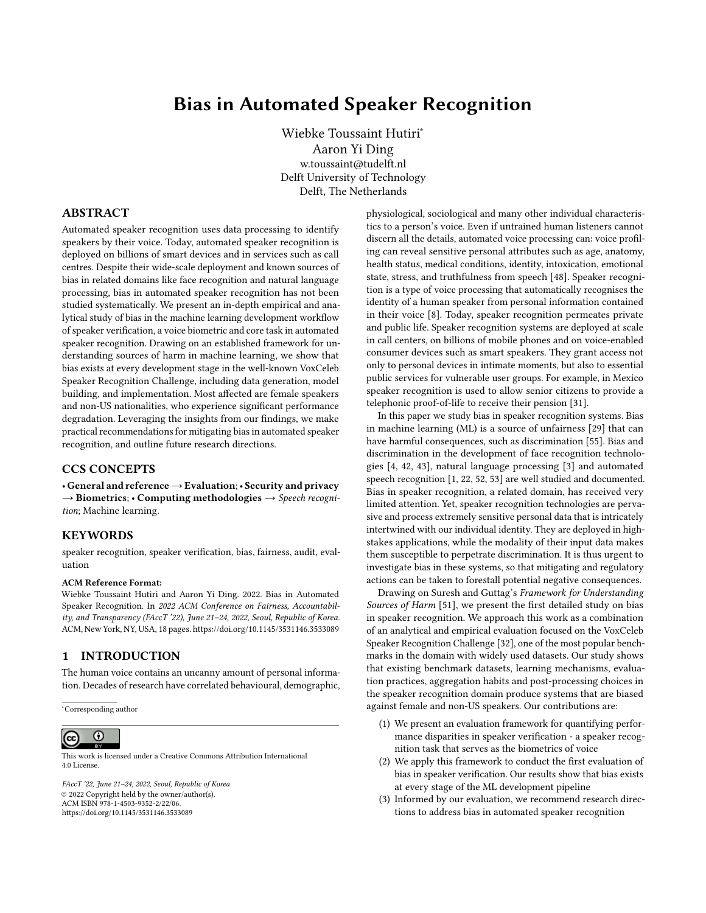Various detection cost functions have been proposed over time, such as the following, proposed in the NIST SRE 2019 Evaluation Plan [37]:

$$
C_{Det}^{1} \circ = C_{FN} \quad P_{Tar \text{ et}} \quad P_{FN}^{1} \circ + C_{FP} \quad 1 \quad P_{Tar \text{ et}} \quad P_{FP}^{1} \circ
$$
  
 
$$
P_{Tar \text{ et}} = 0.05, \ C_{FN} = 1, \ C_{FP} = 1
$$
 (1)

Speech science literature recommends that detection error trade-off (DET) curves [9] are used to visualise the trade-off between FPR and FNR, and to consider system performance across various thresholds. DET curves visualise the FPR and FNR at different operating thresholds on the x- and y-axis of a normal deviate scale [26] (see Figure 7 in the Appendix). They can be used to analyse the intermodel performance (across models), and are also recommended for analysing intra-model performance (across speaker subgroups in a model).

#### 3.3 Competitions and Benchmarks

Speaker recognition challenges have played an important role in evaluating and benchmarking advances in speaker verification. They were first initiated within the Information Technology Laboratory of the US National Institute of Standards and Technology (NIST) to conduct evaluation driven research on automated speaker recognition [9]. The NIST Speaker Recognition Evaluation (SRE) challenges and their associated evaluation plans have been important drivers of speaker verification evaluation. In addition, new challenges have emerged over time to address the requirements of emerging applications and tasks. Table 1 summarises recent challenges, their organisers and the metrics used for evaluation. Most challenges have adopted the minimum of the detection cost function,  $min C_{Det}$ , recommended by the NIST SREs as their primary metric. As the NIST SREs have modified this function over time, different challenges use different versions of the metric. In the remainder of this paper we evaluate bias in the VoxCeleb Speaker Recognition Challenge (SRC).

#### 4 EXPERIMENT SETUP

Launched in 2019, the objective of the VoxCeleb SRC is to "probe how well current [speaker recognition] methods can recognise speakers from speech obtained 'in the wild'" [10]. The challenge has four tracks: open speaker diarisation, open and closed fully supervised, and closed self-supervised speaker verification. It serves as a well-known benchmark, and has received several hundred submissions over the past three years. The popularity of the challenge and its datasets make it a suitable candidate for our evaluation, representative of the current ecosystem. We evaluate group bias in the speaker verification track of the VoxCeleb SRC.

#### 4.1 Baseline Models

The challenge has released two pre-trained baseline models [15] trained on the VoxCeleb 2 training set [33] with close to 1 million speech utterances of 5994 speakers. 61% of speakers are male and 29% of speakers have a US nationality, which is the most represented nationality. More detailed metadata is not readily available. The baseline models are based on a 34-layer ResNet trunk architecture. ResNetSE34V2 [15] is a larger model, with an architecture optimised for predictive performance. ResNetSE34L [5] is a smaller model that contains less than a fifth of the parameters of ResNetSE34V2 and has smaller input dimensions. This reduces the computation time and the memory footprint of the model, two important considerations for on-device deployment in applications like smartphones and smart speakers. The model developers have optimised it for fast execution. We downloaded and used both baseline models as black-box predictors in our evaluation. The technical details of the baseline models are summarised in Table 3 in the Appendix.

#### 4.2 Evaluation Dataset

We evaluate the baseline models on three established evaluation sets that can be constructed from the utterances in the VoxCeleb 1 dataset [33]. VoxCeleb 1 was released in 2017 with the goal of creating a large scale, text-independent speaker recognition dataset that mimics unconstrained, real-world speech conditions, in order to explore the use of DNNs for speaker recognition tasks [34]. The dataset contains 153 516 short clips of audio-visual utterances of 1251 celebrities in challenging acoustic environments (e.g. background chatter, laughter, speech overlap) extracted from YouTube videos. The dataset also includes metadata for speakers' gender and nationality, and is disjoint from VoxCeleb 2 which is used for training. Three different evaluation sets have been designed for testing speaker verification with VoxCeleb 1. We consider all three evaluation sets in our analysis. The evaluation sets are discussed in detail in §6.3.

# 4.3 Speaker Subgroups and Bias Evaluation Measures

We selected subgroups based on attributes and categories captured in the VoxCeleb metadata: gender and nationality. We then established bias by evaluating performance disparities between these subgroups using existing evaluation measures in speaker verification. Reusing attributes and category labels, though practical for facilitating our study, perpetuates existing bias. We reflect on the consequences of this in our analysis of measurement bias in §5.3.

Our first technique for establishing bias is to plot the DET curves for all subgroups, and to compare the subgroups' DET curves to the overall curve for all subgroups. As speaker verification systems must operate on the DET curve, this presents the theoretical performance boundary of the model across subgroups. Secondly, we consider bias at the threshold to which the system has been calibrated, which ultimately presents the operating point of the system. Here we consider an unbiased system as one that has equal false positive and true positive (or false negative) rates across subgroups, in line with the definition of equalized odds [12]. We compare each subgroup's performance to the overall system performance to facilitate comparison across a large number of subgroups, and thus deviate slightly from the formal definition of equalized odds. We use  $C_{Det}$ <sup>1</sup> ° as defined in Equation 1 to determine the calibration threshold and quantify the relative bias towards each subgroup with the ratio of the subgroup cost  $C_{Det}^{-1}$  <sup>os G</sup> to the overall cost  $C_{Det}$ <sup>1</sup> <sup>o erall</sup> at the threshold value where  $C_{Det}$ <sup>1</sup> <sup>o</sup> is minimized for the overall system. for the overall system: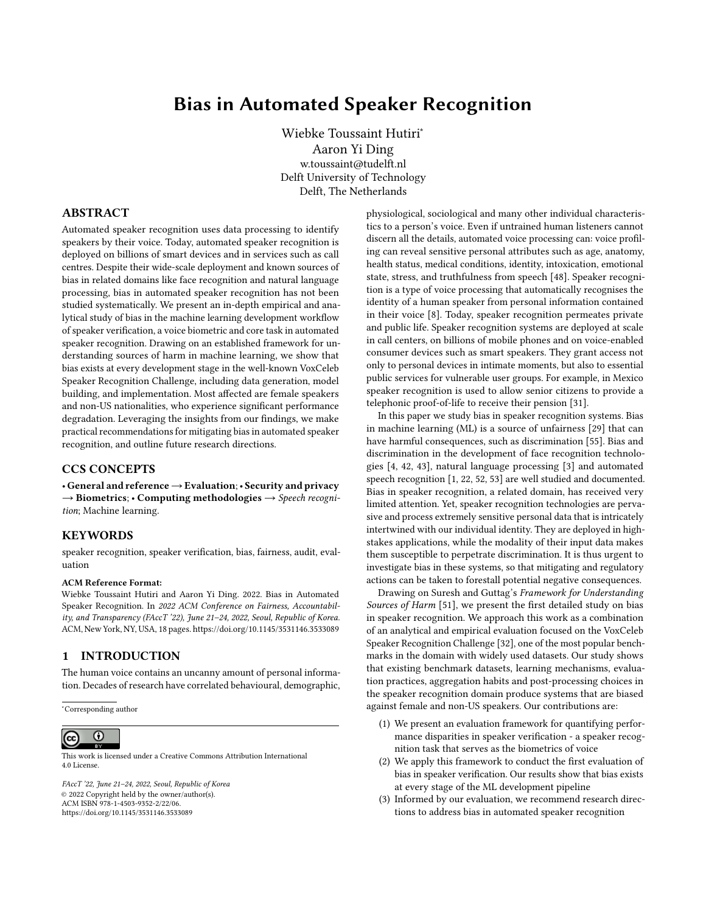| Name                          | Organiser                              | <b>Years</b>  | <b>Metrics</b>                                    |
|-------------------------------|----------------------------------------|---------------|---------------------------------------------------|
| NIST SRE [9]                  | US National Inst. of Standards & Tech. | 1996 - 2021   | <b>Detection Cost Function</b>                    |
| SRE in Mobile Env's [19]      | Idiap Research Institute               | 2013          | DET curve, EER, half total error rate             |
| Speakers in the Wild SRC [28] | at Interspeech 2016                    | 2016          | min $C_{Det}$ * (SRE2016), $R_{prec}$ , $C_{IIr}$ |
| VoxCeleb SRC [32]             | Oxford Visual Geometry Group           | $2019 - 2021$ | $min C_{Det}$ * (SRE2018), EER                    |
| Far-Field SVC [41]            | at Interspeech 2020                    | 2020          | $min C_{Det}$ *, EER                              |
| Short Duration SVC [58]       | at Interspeech 2021                    | $2020 - 2021$ | norm min $C_{Det}$ * (SRE08)                      |
| SUPERB benchmark [57]         | CMU, JHU, MIT, NTU, Facebook AI        | 2021          | $EER*$                                            |

Table 1: Evaluation metrics for Speaker Verification and Recognition Challenges (SVC and SRC) (\* primary metric)

sub roup bias <sup>=</sup> CDet @ o er all min o er all (2)

 $C_{Det}$  and  $C_{out}$  and min  $C_{out}$  if the subgroup bias is greater than 1, the subgroup performance is worse than the overall performance, and the speaker verification model is prejudiced against that subgroup. Conversely, if the subgroup bias is less than 1, the model favours the subgroup. If the ratio is exactly 1, the model is unbiased for that subgroup.

#### 4.4 Black-box Bias Evaluation Framework

We designed a framework $^1$  that replicates a real evaluation scenario to evaluate bias in the VoxCeleb SRC benchmark. Figure 2 shows an overview of our approach. We start with pairs of single-speaker speech utterances in the evaluation dataset as input, and use the baseline models, ResNetSE32V2 and ResNetSE34L, as black-box predictors. The baseline models output scores for all utterance pairs in the evaluation set. We set the threshold to the value that minimizes the overall system cost of the DCF and accept or reject speakers in utterance pairs based on that. Our predicted binary acceptance is then compared to the true labels of the utterance pairs to determine false positive and false negative predictions. Using the metadata for speakers, we allocate each utterance pair to a subgroup based on the attributes of the enrollment utterance. From these inputs we evaluate bias by establishing the FPR, FNR and thus  $C_{Det}^{-1}$  <sup>o.56</sup> at the threshold value for each subgroup. We also plot DET curves from threshold value for each subgroup. We also plot DET curves from the outputs scores for each subgroup. The evaluation is repeated for each of the three VoxCeleb 1 evaluation sets. Using this evaluation framework, we now identify sources of bias in data generation (Section 5) and model building and implementation (Section 6).



#### Figure 2: Framework for black-box bias evaluation of speaker verification models

## 5 BIAS IN DATA GENERATION

In this section we identify sources of bias in the VoxCeleb SRC that arise during data generation (see Suresh and Guttag's Framework for Understanding Sources of Harm described in §2.3). The stage involves data generation, population definition and sampling, measurement and pre-processing, with the goal of creating training, test and benchmark datasets. The types of bias that arise in these processes are historical bias, representation bias and measurement bias.

#### 5.1 Historical Bias

#### Historical bias replicates biases, like stereotypes, that are present in the world as is or was.

The VoxCeleb 1 dataset was constructed with a fully automated data processing pipeline from open-source audio-visual media [34]. The candidate speakers for the dataset were sourced from the VGG Face dataset [40], which is based on the intersection of the most searched names in the Freebase knowledge graph and Internet Movie Database (IMDB). After searching and downloading video clips for identified celebrities, further processing was done to track faces, identify active speakers and verify the speaker's identity using the HOG-based face detector [20], Sync-Net [6] and VGG Face CNN [47] respectively. If the face of a speaker was correctly identified, the clip was included in the dataset.

Bias in facial recognition technologies is well known [4, 42, 43], and historic bias pervades the automated data generation process of VoxCeleb. The VoxCeleb 1 inclusion criteria subject the dataset to the same bias that has been exposed in facial recognition verification technology and reinforce popularity bias based on search results [29]. Moreover, the data processing pipeline directly translates bias in facial recognition systems into the speaker verification domain, as failures in the former will result in speaker exclusion from VoxCeleb 1.

#### 5.2 Representation Bias

Representation bias underrepresents a subset of the population in its sample, resulting in poor generalization for that subset.

The VoxCeleb 1 dataset is skewed towards males and US nationals, as can be seen in Figure 8 in the Appendix. Performance for this group is the most reliable and aligns the closest with the average performance. For subgroups with the smallest amount of speakers, such as Italian, German and Irish females, DET curves in Figure 9 in the Appendix show that performance is unreliable. In the context of benchmark evaluations, such skewed representation not only provides an inadequate understanding of the real capabilities

 $1$ <sup>1</sup>The code for the evaluation has been released as an open-source python library: <https://github.com/wiebket/bt4vt/releases/tag/v0.1>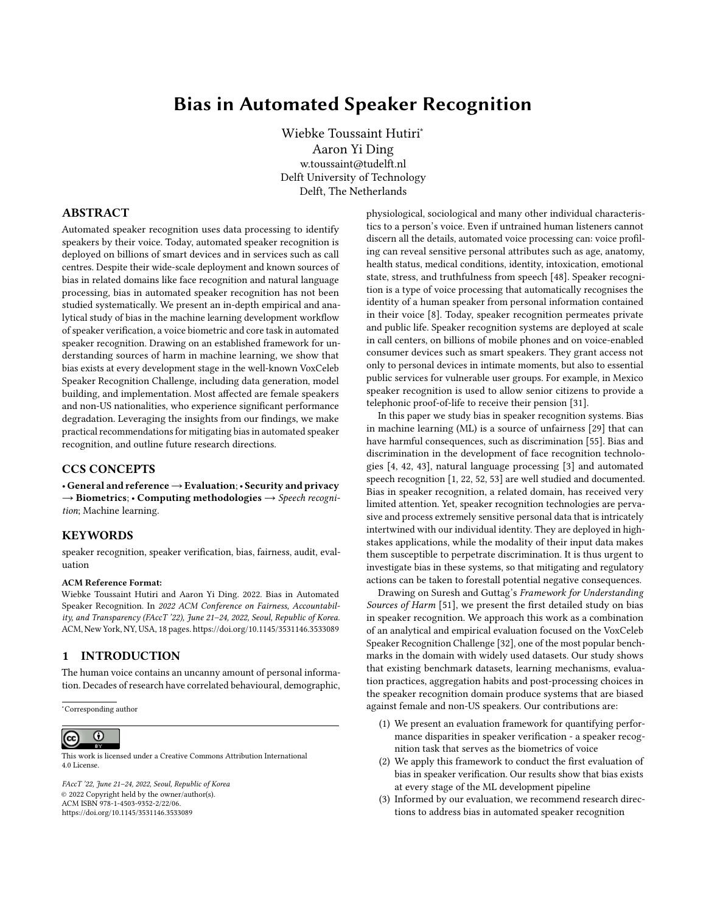of speaker verification for a diverse population of people, but it also shapes the development of the technology towards the group of people that are most represented. Representation bias affects the quality of our bias evaluation for underrepresented subgroups. However, there are sufficient subgroups that have a reasonable representation of speakers (USA, Canadian, UK, Indian and Australian males and females) to support our efforts of gathering evidence of bias.

Recent work on age recognition with the VoxCeleb datasets [13] shows that speakers between ages 20 and 50 are most represented in the dataset, indicating that representation bias is also evident across speaker age. Nationality, gender and age only account for some of the attributes of a speaker's voice that affect automated speaker recognition [48]. We discuss additional attributes that are likely to affect performance in the following section on measurement bias. Being a celebrity dataset that is not representative of the broad public, it is likely that VoxCeleb 1 contains representation bias that affect many other sensitive speaker attributes. Representation bias contributes to aggregation bias (§6.1), evaluation bias (6.3) and deployment bias (§6.4) in speaker verification, and is discussed in further detail in those sections.

#### 5.3 Measurement Bias

#### Measurement bias occurs in the process of designing features and labels to use in the prediction problem.

In our analysis of measurement bias we focus on labelling choices made in the VoxCeleb 1 metadata, which our study inherits in our subgroup design choices. While these labels are not used for making predictions, they are used to make judgements about speaker representation in the dataset. They also inform subgroup design, which plays a fundamental role in our group-based bias analysis.

The VoxCeleb 1 dataset creators inferred nationality labels from speakers' countries of citizenship, as obtained from Wikipedia. Their underlying motivation for doing this was to assign a label that is indicative of a speaker's accent [33]. Conflating nationality and accent is problematic, as people with the same citizenship can speak the same language with different accents. Likewise, many countries have citizens speaking different languages (e.g. India has 7 languages with more than 50 million first language speakers each [56]). Using nationality as a subgroup label has merits<sup>2</sup>, even if conflating nationality, accent and language raises concerns. The nationality-based performance differences that we observe suggest that language, accent, ethnicity and dialect may also produce disparate performance.

The metadata considers only binary gender categories, namely male and female. From the dataset description it is unclear what method was followed to label speakers by gender. Many concerns about gender labelling in face analysis technologies have been pointed out in prior research [45], and similar concerns hold true in speaker recognition. Simply replacing a binary gender classification with more categories is not a recommended alternative. Even if it were possible to produce accurate labels, they might help to mitigate bias in speaker verification only while offering a new surface

for harm, for example through voice-based gender classification enabled targeting.

# 6 BIAS IN MODEL BUILDING AND IMPLEMENTATION

Having analysed bias in data generation, we now present evidence of bias in the model building and implementation stage of the Vox-Celeb SRC benchmark. In the ML pipeline this stage involves model definition and training, evaluation and real-world deployment. The types of bias that arise in these processes are aggregation bias, learning bias, evaluation bias and deployment bias. We found evidence of each type of bias in our evaluation.

#### 6.1 Aggregation Bias

Aggregation bias arises when data contains underlying groups that should be treated separately, but that are instead subjected to uniform treatment.

We evaluate aggregation bias by plotting disaggregated DET performance curves for speaker subgroups based on nationality and gender. In Figure 3 we show the DET curves for female (left) and male (right) speakers across 11 nationalities for the ResNetSE34V2 model evaluated on the VoxCeleb 1-H evaluation set. The dotted black DET curve shows the overall performance across all subgroups. DET curves above the dotted line have a high likelihood of performing worse than average, while DET curves below the dotted line will generally perform better than average. It is easy to see that the DET curves of female speakers lie mostly above the average DET curve, while those of male speakers lie below it. The model is thus likely to perform worse than average for females, and better for males. Figure 9 in the Appendix shows DET subplots for each nationality, highlighting disparate performance across nationalities.

The triangular markers show the FPR and FNR at the threshold  $\omega$  o erall min where the overall system DCF is minimized. The markers for male and female speaker subgroups are dispersed, indicating that the aggregate system calibration results in significant operating performance variability across subgroups. Table 4 in the Appendix shows the sub roup bias for all subgroups. With the exception of US female speakers, all females have a sub roup bias greater than 1, and thus perform worse than average.

The DET curves and sub roup bias demonstrate disparate performance based on speakers' gender and nationality. They also show that the model is fit to the dominant population in the training data, US speakers. The trends in aggregation bias that we observe for ResNetSE34V2 are evident in all three evaluation sets, as well as ResNetSE34L. They indicate that speaker verification models do not identify all speaker subgroups equally well, and validate that performance disparities between male and female speakers identified in the past [27] still exist in DNN speaker verification models today.

#### 6.2 Learning Bias

Learning bias concerns modeling choices and their effect on amplifying performance disparities across samples.

The ResNetSE34V2 and ResNetSE34L models are built with different architectures and input features. The two architectures have been

 $2$ Discrimination based on national origin can have legal consequences, for instance, Title VII of the Civil Rights Act of 1964 prohibits employment discrimination based on national origin in the United States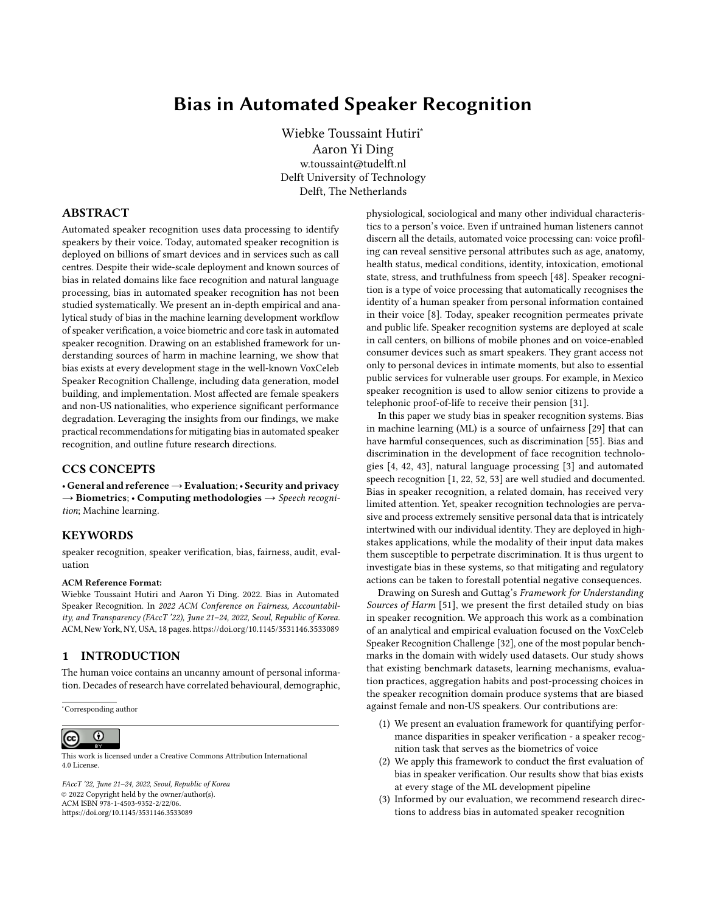

Figure 3: Aggregation bias in ResNetSE34V2 with the VoxCeleb 1-H evaluation set: 1) the aggregate model (dotted black line) is fit to the dominant population (US speakers) and 2) the operating performance (triangular markers) across subgroups has high variability when the system is tuned to the overall threshold.

designed for different goals respectively: to optimise performance and to reduce inference time. Optimisation here refers to the design goal, not the optimiser of the model. The reduced number of parameters, smaller model size and reduced number of computations of ResNetSE34L are desirable attributes for on-device deployment.

In Figure 4 we plot the sub roup bias for both models for all subgroups. On the dotted line the models perform equally well for a subgroup. The greater the distance between a marker and the line, the greater the performance disparity between the models for that subgroup. As described in §4.3, subgroup performance is worse than average if the sub roup bias is greater than 1, and better than average if it is less than 1. We make three observations: Firstly, the sub roup bias for both models for male subgroups is close to or less than 1, indicating that at the threshold value males experience better than average performance for both models. Secondly, we observe that sub roup bias for male US speakers is equal for both models, indicating that performance disparities remain consistent for the over-represented group. Thirdly, we observe that neither of the two



Figure 4: Learning bias based on model architecture. Subgroup bias for the performance optimized ResNetSE34V2 is shown on the x-axis, and for the speed optimized ResNetSE34L on the y-axis. On the diagonal subgroup bias for the two models is equal.

models reduces performance disparities definitively: ResNetSE34V2 has a lower sub roup bias for 7 subgroups, ResNetSE34L for 10 subgroups.

In addition to examining sub roup bias we have plotted the DET curves for both models across subgroups in Figure 10 in the Appendix. We observe that the smaller ResNetSE34L increases the distance between DET curves for males and females with nationalities from the UK, USA and Ireland, indicating that the model increases performance disparities between male and female speakers of these nationalities. For Australian, Indian and Canadian speakers the distance between DET curves for males and females remains unchanged, while for Norwegian nationalities they lie closer together. Together these results point to learning bias, highlighting that modeling choices such as the architecture, the number of model parameters and the input feature dimensions can amplify performance disparities in speaker verification. The disparities tend to negatively affect female speakers and nationalities with few speakers. Our results reinforce other studies that have shown that bias can arise when reducing model size during pruning [16, 54], but are insufficient to point out the exact modeling choices that affect learning bias. This remains an area of future work.

#### 6.3 Evaluation Bias

Evaluation bias is attributed to a benchmark population that is not representative of the user population, and to evaluation metrics that provide an oversimplified view of model performance.

6.3.1 Evaluation Datasets. Representative benchmark datasets are particularly important during ML development, as benchmarks have disproportionate power to scale bias across applications if models overfit to the data in the benchmark [51]. Three evaluation sets can be constructed from the VoxCeleb 1 dataset to benchmark speaker verification models. VoxCeleb 1 test contains utterance pairs of 40 speakers whose name starts with E. VoxCeleb 1-E includes the entire dataset, with utterance pairs sampled randomly. VoxCeleb 1-H is considered a hard test set, that contains only utterance pairs where speakers have the same gender and nationality. Speakers have only been included in VoxCeleb 1-H if there are at least 5 unique speakers with the same gender and nationality. All three evaluation sets contain a balanced count of utterance pairs from same speakers and different speakers. We have calculated the speaker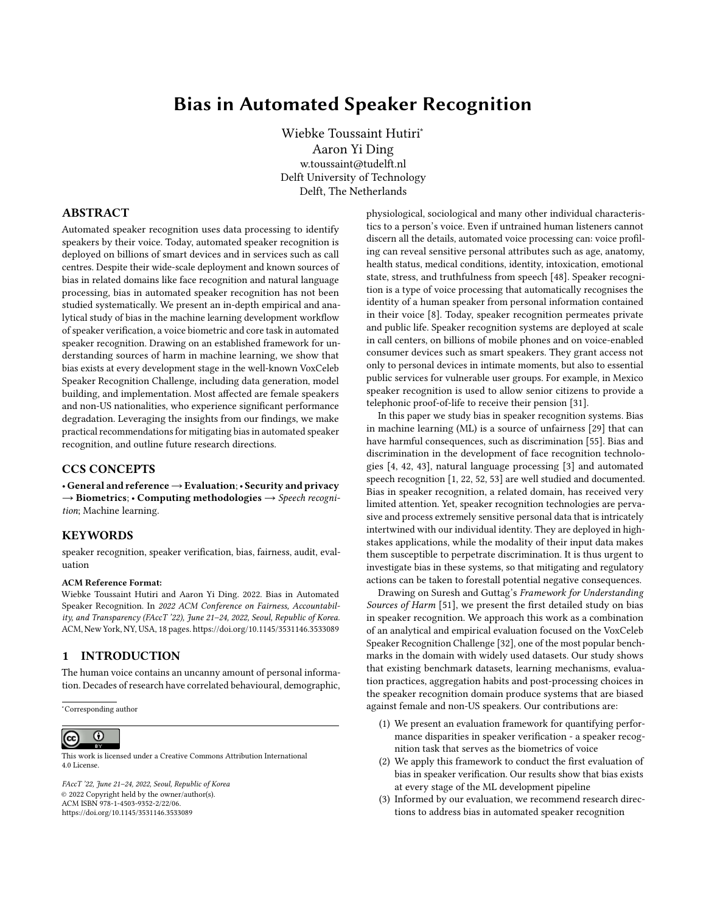and utterance level demographics for each evaluation set from the dataset's metadata, and summarise the attributes of the evaluation sets in Table 2.

Several observations can be made based on the summary in Table 2: the VoxCeleb 1 dataset suffers from representation bias (see Section 5.2) and all three evaluation sets over-represent male speakers and US nationals. Furthermore, the sample size of VoxCeleb 1 test is too small to use it for a defensible evaluation. Its inclusion criterion based on speakers' names introduces additional representation bias into the evaluation set, as names strongly correlate with language, culture and ethnicity.

In addition to these obvious observations, the summary also reveals subtler discrepancies. Speaker verification evaluation is done on utterance pairs. Demographic representation is thus important on the speaker level to ensure that the evaluation set includes a variety of speakers, and on the utterance level to ensure that sufficient speech samples are included for each individual speaker. A significant mismatch in demographic representation between the speaker and utterance level is undesirable. If the representation of a subgroup is higher on the speaker level than the utterance level, this misrepresents the demographics that matter during evaluation and may indicate underrepresentation of individual speakers. Conversely, if the representation of a subgroup is lower on the speaker level, this increases the utterance count per speaker, suggesting overrepresentation of individual speakers. When considering utterances instead of speakers, the representation of females in relation to males decreases from 61% to 42% for VoxCeleb 1 test, from 82% to 72% for VoxCeleb 1-E and from 79% to 70% for VoxCeleb 1-H. The evaluation sets thus not only contain fewer female speakers, they also contain fewer utterances for each female speaker, which reduces the quality of evaluation for female speakers.

We evaluate ResNetSE34V2 with the three evaluation sets and plot the resulting DET curves in Figure 5. The DET curve of VoxCeleb 1 test is irregular, confirming that this evaluation set is too small for a valid evaluation. In a FPR range between 0.1% and 5%, which is a reasonable operating range for speaker verification, model performance is similar on VoxCeleb 1 test and VoxCeleb 1-E. The curve of VoxCeleb 1-H lies significantly above the other two evaluation sets, indicating that the model performs worse on this evaluation set. Our empirical results illustrate that model performance is highly susceptible to the evaluation set, and show how evaluation bias can affect speaker verification models during evaluation.



Figure 5: Evaluation bias in the three VoxCeleb 1 evaluation sets with ResNetSE34V2

6.3.2 Evaluation Metrics. The two dominant metrics used in speaker verification benchmarks, including the VoxCeleb SRC, are the equal error rate (EER) and the minimum value of the detection cost function  $C_{Det}$ <sup>1</sup> @ o erall min<sup>o</sup> (see Table 1). Both error metrics give rise to evaluation bias. The EER presents an oversimplified view of model performance, as it cannot weight false positives and false negatives differently. Yet, most speaker verification applications strongly favour either a low FPR or a low FNR [9]. The NIST SREs do not promote the use of the EER for speaker verification evaluation for this reason [9], which makes it particularly concerning that new challenges like the SUPERB benchmark evaluate only the EER [57].  $C_{Det}$ <sup>1</sup> @ o erall min<sup>o</sup> can weight FPR and FNR, but has its own shortcomings. Firstly, the detection cost function has been updated over the years, and different versions of the metric are in use. This is impractical for consistent evaluation of applications across time. Secondly, the cost function is only useful if the FPR and FNR weighting reflect the requirements of the application. Determining appropriate weights is a normative design decision, and has received very limited attention in the research community. In benchmarks weights are typically not adjusted, which oversimplifies real-life evaluation scenarios. Finally,  $C_{Det}$ <sup>1</sup> @ o erall min<sup>°</sup> presents a limited view of a model's performance at a single threshold value. While DET curves can provide a holistic view on the performance of speaker verification models across thresholds, many recent research papers do not show them, and those that do only show aggregate curves.

The aggregate form of current evaluation practices based on and optimised for average performance hides the nature of harm that arises from evaluation bias. Ultimately, what matters when a speaker verification system is deployed, are the FPR and FNR. False positives pose a security risk, as they grant unauthorized speakers access to the system. False negatives pose a risk of exclusion, as they deny authorized speakers access to the system. We consider the FPR and FNR for subgroups at  $C_{Det}$ <sup>1</sup> @ o erall min<sup>°</sup> in relation to the average FPR and FNR in Table 5 in the Appendix. US male speakers have a FPR and FNR ratio of 1, indicating that this subgroup will experience error rates in line with the average. On the other end of the spectrum Indian female speakers have a FPR and FNR that are 13 and 1.3 times greater than average, indicating that this subgroup is exposed to a significant security risk, and a greater risk of exclusion.

#### 6.4 Deployment Bias

Deployment bias arises when the application context and usage environment do not match the problem space as it was conceptualised during model development.

6.4.1 Application Context. Advancements in speaker verification research have been funded by governments to advance intelligence, defense and justice objectives [9]. The underlying use cases of speaker verification in these domains have been biometric identification and authentication. From this lens, the speaker verification problem space has been conceptualized to minimize false positives, which result in security breeches. Research on evaluation and consequently also model development has thus focused on attaining low FPRs. This dominant, but limited view promotes deployment bias in new use cases, which require evaluation practices and evaluation datasets tailored to their context.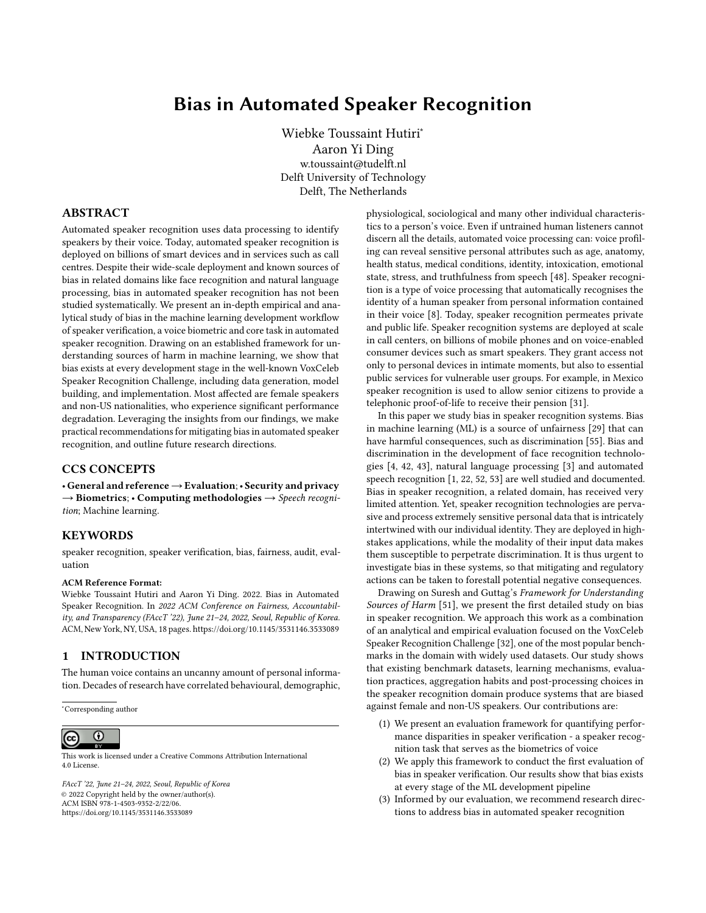|                                             | VoxCeleb 1 test      | VoxCeleb 1-E       | VoxCeleb 1-H                          |
|---------------------------------------------|----------------------|--------------------|---------------------------------------|
| unique speakers                             | 40                   | 1 2 5 1            | 1 1 9 0                               |
| unique utterance pairs                      | 37 720               | 579 818            | 550 894                               |
| speaker pairing details                     |                      | random sample      | same gender, nationality              |
| speaker pair inclusion criteria             | name starts with 'E' | all                | >=5 same gender, nationality speakers |
| female / male speakers (%)                  | 38/62                | 45/55              | 44/56                                 |
| female / male utterances (%)                | 29.5 / 70.5          | 41.8 / 58.2        | 41.1 / 58.9                           |
| count of nationalities                      |                      | 36                 | 11                                    |
| top 1 nationality (% speakers / utterances) | US $(62.5 / 59.6)$   | US $(63.9 / 61.4)$ | US $(67.1 / 64.7)$                    |
| top 2 nationality (% speakers / utterances) | UK (12.5 / 13.9)     | UK (17.2 / 18.3)   | UK (18.1 / 19.3)                      |
| top 3 nationality (% speakers / utterances) | Ireland (7.5 / 6.7)  | Canada (4.3 / 3.8) | Canada (4.5 / 3.9)                    |

Table 2: VoxCeleb 1 evaluation sets show that the benchmark's population is not representative across gender and nationality

Today, speaker verification is used in a wide range of audio-based applications, ranging from voice assistants on smart speakers and mobile phones to call centers. A low FPR is necessary to ensure system security. In voice assistants, false positives also affect user privacy, as positive classifications trigger voice data to be sent to service providers for downstream processing [46]. When used in forensic applications, false positives can amplify existing bias in decision-making systems, for example in the criminal justice system [17]. Even if the FPR is low, the speaker verification system will have a high FNR as trade-off, and the consequences of this must be considered. The FNR affects usability and can lead to a denial of service from voice-based user interfaces. The more critical the service, the higher the risk of harm associated with the FNR. Consider, for example, the previously mentioned speaker verification system used as proof-of-life of pensioners [31]. As long as the system is able to identify a pensioner correctly, it relieves the elderly from needing to travel to administrative offices, thus saving them time, money and physical strain. If the system has disparate FNR between demographic subgroups, some populations will be subjected to a greater burden of travel.

Evaluation practices aside, many speaker verification applications will suffer from deployment bias when evaluated on the utterance pairs in the VoxCeleb 1 evaluation datasets. Voice assistants in homes, cars, offices and public spaces are geographically bound, and speakers using them will frequently share a nationality, language and accent. These user and usage contexts should be reflected in the evaluation sets. The VoxCeleb 1 evaluation sets with randomly generated utterance pairs (i.e. VoxCeleb 1 test and -E) are inadequate to capture speaker verification performance in these application scenarios. Even VoxCeleb 1-H, which derives its abbreviation -H from being considered the hard evaluation set, is inadequate to evaluate speaker verification performance in very common voice assistant scenarios, such as distinguishing family members. Furthermore, the naming convention of the evaluation sets promotes a limited perspective on speaker verification application contexts: naming VoxCeleb 1-H the hard evaluation set creates a false impression that the randomly generated utterance pairs of VoxCeleb 1-E are the typical evaluation scenario.

6.4.2 Post-processing. The operating threshold of a speaker verification system is calibrated after model training (see §3.2). This postprocessing step amplifies aggregation bias (discussed in §6.1) and deployment bias due to the application context (discussed above). The operating threshold is set in a calibration process that tunes a speaker verification system to a particular evaluation set. If the

evaluation set does not take the usage environment and the characteristics of speakers in the environment into consideration, this can give rise to further deployment bias due to post-processing. As discussed above, the VoxCeleb 1 evaluation sets encompass a very limited perspective on application scenarios, and thresholds tuned to these evaluation sets will suffer from deployment bias due to post-processing in many contexts.

The speaker verification system threshold is typically calibrated for the overall evaluation set. This gives rise to a form of aggregation bias that arises during post-processing and deployment. Instead of calibrating the threshold to the overall evaluation set, it could be tuned for each subgroup individually. Using the detection cost function as example, this means setting the threshold for a subgroup to the value where  $C_{Def}$ <sup>1</sup> ° is minimized for the subgroup (i.e.  $U_{Det}$  @ *SG* min 1. If the detection cost at the subgroup s minimum is smaller than at the overall minimum, then the subgroup  $C_{Det}$  @ SG min<sup>SG</sup>). If the detection cost at the subgroup's minibenefits from being tuned to its own threshold. By calculating the ratio of the subgroup's overall detection cost and the subgroup's minimum detection cost, we can get an intuition of the extent of bias. If the ratio is greater than 1, the subgroup will benefit from being tuned to its own threshold. The greater the ratio, the greater the bias and the more the subgroup will benefit from being tuned to its own minimum. Table 4 in the Appendix shows the ratios for all subgroups. It is clear that all subgroups would perform better if tuned to their own threshold. However, female speakers with a mean ratio of 1.37 will experience greater benefit from threshold tuning than male speakers with a mean ratio of 1.09. Visually, the effect of calibrating subgroups to their own threshold can be seen in Figure 11 in the Appendix.

### 7 DISCUSSION

In this paper we have presented an in-depth study of bias in speaker verification, the data processing technique underlying voice biometrics, and a core task in automated speaker recognition. We have provided empirical and analytical evidence of sources of bias at every stage of the speaker verification ML development workflow. Our study highlights that speaker verification performance degradation due to demographic attributes of speakers is significant, and can be attributed to aggregation, learning, evaluation, deployment, historical, representation and measurement bias. Our findings echo concerns similar to those raised in the evaluation for facial recognition technologies [43]. While our findings are specific to speaker verification, they can, for the most part, be extended to automated speaker recognition more broadly. Below we present recommendations for mitigating bias in automated speaker recognition and discuss limitations of our work.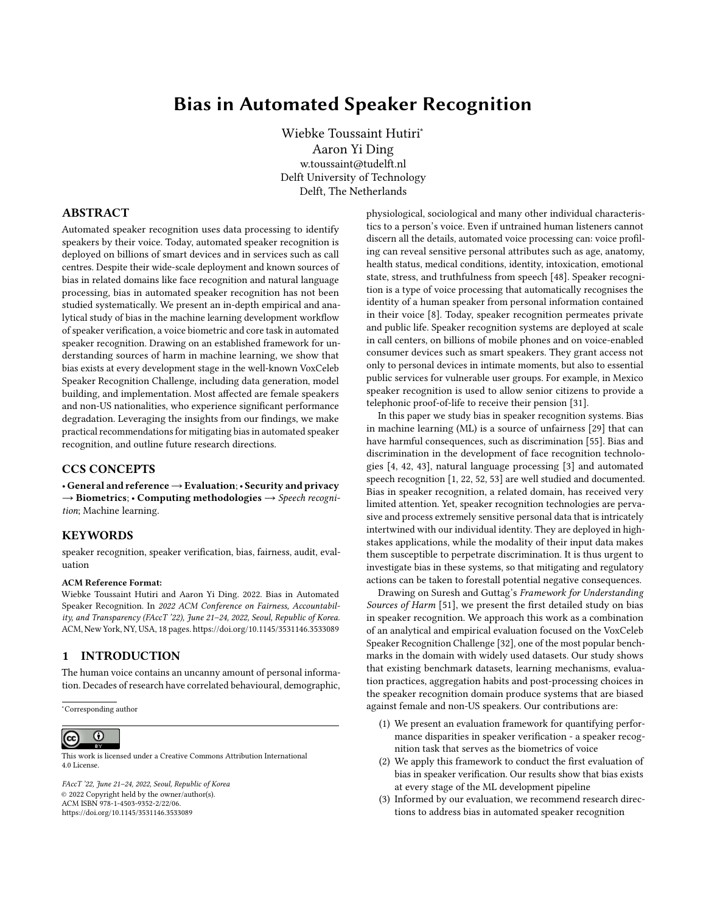#### 7.1 Recommendations

7.1.1 Inclusive Evaluation Datasets for Real Usage Scenarios. We have shown that speaker verification evaluation is extremely sensitive to the evaluation set. The three evaluation sets specified for the VoxCeleb 1 dataset induce evaluation bias, and are insufficient for evaluating many real-world application scenarios. Representative evaluation datasets that are inclusive on a speaker and utterance level are thus needed. On an utterance level, an appropriate evaluation set should contain sufficient utterance pairs for all speakers, and pairs should reflect the reality of the application context. This requires guidelines for constructing application-specific utterance pairs for evaluation. As discussed in §5.3, our approach for constructing subgroups replicates measurement bias in the labelling choices of VoxCeleb. Future work should consider speaker groups based on vocal characteristics such as pitch, speaking rate, and vocal effort, and consider speaker diversity across languages and accents. Moreover, research on diversity and inclusion in subgroup selection [30] presents a starting point that can inform the design of more inclusive speaker verification evaluation datasets.

7.1.2 Evaluation Metrics that Consider Consequences of Errors. Considering the consequences of errors across application contexts is necessary to reduce deployment bias in speaker verification. Speaker verification evaluation and testing should carefully consider the choice and parameters of error metrics to present robust evaluations and comparison across models for specific application contexts. To this end, guidelines are needed for designing application specific error metrics, and for evaluating bias with these metrics. Such guidelines should determine acceptable FPR and FNR ranges, and guide normative decisions pertaining to the selection of weights of cost functions. Alternative evaluation metrics, such as those used for privacy-preserving speaker verification [25, 36], should also be studied for evaluating bias. To assess aggregation bias in speaker verification, disaggreated evaluation across speaker subgroups is needed. DET curves, which have history in speaker verification evaluation, should be used for visualizing model performance across speaker subgroups. Additionally error metrics should also be computed and compared across subgroups to mitigate evaluation bias.

7.1.3 Learning and Engineering Approaches for Mitigating Bias. Bias in speaker recognition is a new area of study, and interventions are needed to address learning, deployment, aggregation and measurement bias. We make some suggestions for interventions that can mitigate these types of bias. Speaker verification will improve for all subgroups if they are tuned to their own threshold rather than the overall threshold. Developing engineering approaches to dynamically select the optimal threshold for subgroups or individual speakers will improve the performance of speaker verification in deployed applications. Subgroup membership is typically not known at run time, making this a challenging task with potential trade-offs against privacy. Further research is also required to study how optimisation for on-device settings, such as model compression, pruning and small-footprint architectures, affect learning bias. Previous work in audio keyword spotting has shown that performance disparities across speaker subgroups can be attributed to model input features and the data sample rate at which the voice

signal was recorded [53]. Studying and mitigating sources of measurement bias due to data processing and input features thus remain an important area for future work.

#### 7.2 Limitations

Our work presents the first study of bias in speaker verification development and does not study bias in commercial products, which we position as an area for future work. Our aim was to study typical development and evaluation practices in the speaker verification community, not to compare speaker verification algorithms. We thus designed a case study with a confined scope, using publicly available benchmark models as black box predictors. Our findings should be interpreted with this in mind, and not be seen as a generic evaluation for all speaker verification models. We constructed demographic subgroups based on those included in the VoxCeleb1-H evaluation set. Some subgroups thus have insufficient sample sizes, which affects the quality of our empirical evaluation for these subgroups. However, as discussed in detail in §6.3, small subgroups are in themselves a source of representation bias that needs to be addressed. We observed that the performance difference that we identified between male and female speakers, and across nationalities, persist across small and large subgroups.

#### 8 CONCLUSION

Automated speaker recognition is deployed on billions of smart devices and in services such as call centres. In this paper we study bias in speaker verification, the biometrics of voice, which is a core task in automated speaker recognition. We present an in-depth empirical and analytical study of bias in a benchmark speaker verification challenge, and show that bias exists at every stage of the machine learning development workflow. Most affected by bias are female speakers and non-US nationalities, who experience significant performance degradation due to aggregation, learning, evaluation, deployment, historic and representation bias. Our findings lay a strong foundation for future work on bias and fairness in automated speaker recognition.

#### ACKNOWLEDGMENTS

This research was partially supported by projects funded by EU Horizon 2020 research and innovation programme under GA No. 101021808 and GA No. 952215.

#### **REFERENCES**

- [1] Martine Adda-Decker and Lori Lamel. 2005. Do speech recognizers prefer female speakers? INTERSPEECH (2005), 2205–2208. [https://www.isca-speech.org/](https://www.isca-speech.org/archive/interspeech_2005/addadecker05_interspeech.html) [archive/interspeech\\_2005/addadecker05\\_interspeech.html](https://www.isca-speech.org/archive/interspeech_2005/addadecker05_interspeech.html)
- Zhongxin Bai and Xiao Lei Zhang. 2021. Speaker recognition based on deep learning: An overview. Neural Networks 140 (2021), 65-99. [https://doi.org/10.](https://doi.org/10.1016/j.neunet.2021.03.004) [1016/j.neunet.2021.03.004](https://doi.org/10.1016/j.neunet.2021.03.004)
- [3] Tolga Bolukbasi, Kai-wei Chang, James Zou, Venkatesh Saligrama, and Adam Kalai. 2016. Man is to Computer Programmer as Woman is to Homemaker ? Debiasing Word Embeddings. In NIPS'16: Proceedings of the 30th International Conference on Neural Information Processing Systems. 4356 – 4364.
- [4] Joy Buolamwini and Timnit Gebru. 2018. Gender Shades: Intersectional Accuracy Disparities in Commercial Gender Classification. In Proceedings of Machine Learning Research: Conference on Fairness, Accountability, and Transparency, Vol. 81. 1889–1896.
- [5] Joon Son Chung, Jaesung Huh, Seongkyu Mun, Minjae Lee, Hee Soo Heo, Soyeon Choe, Chiheon Ham, Sunghwan Jung, Bong Jin Lee, and Icksang Han. 2020. In defence of metric learning for speaker recognition. Proceedings of the Annual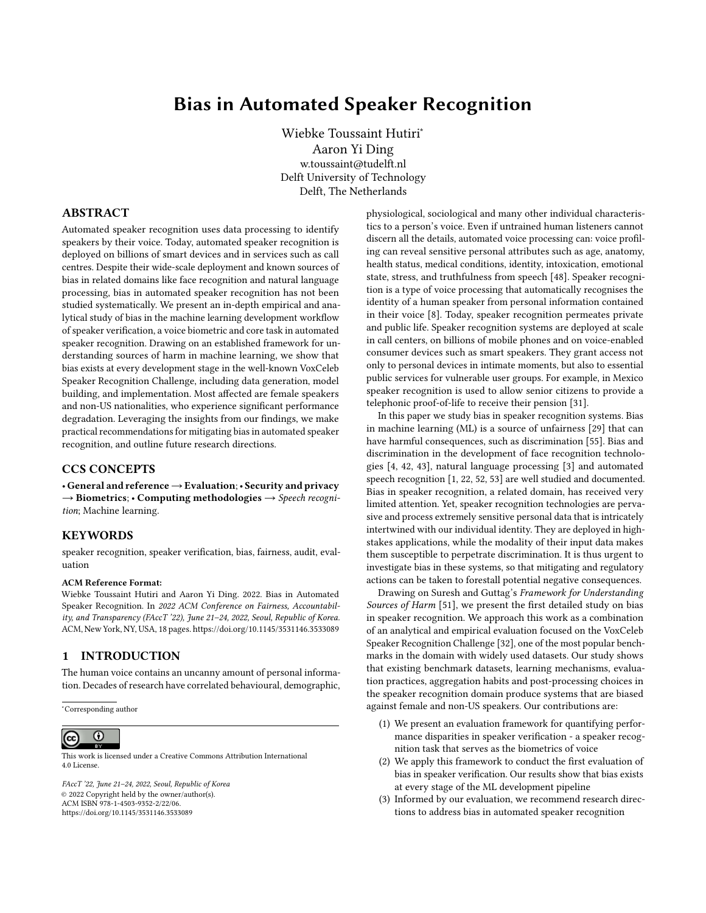Conference of the International Speech Communication Association, INTERSPEECH 2020-Octob (2020), 2977–2981.<https://doi.org/10.21437/Interspeech.2020-1064>

- [6] Joon Son Chung and Andrew Zisserman. 2017. Out of time: Automated lip sync in the wild. Lecture Notes in Computer Science (including subseries Lecture Notes in Artificial Intelligence and Lecture Notes in Bioinformatics) 10117 LNCS, i (2017), 251–263. [https://doi.org/10.1007/978-3-319-54427-4{\\_}19](https://doi.org/10.1007/978-3-319-54427-4{_}19)
- [7] Gianni Fenu, Mirko Marras, Giacomo Medda, and Giacomo Meloni. 2021. Fair Voice Biometrics : Impact of Demographic Imbalance on Group Fairness in Speaker Recognition. (2021), 1892–1896.
- [8] Sadaoki Furui. 1994. An Overview of Speaker Recognition Technology. In ESCA Workshop on Automatic Speaker Recognition, Identification and Verification. 1 – 9.
- [9] Craig S. Greenberg, Lisa P. Mason, Seyed Omid Sadjadi, and Douglas A. Reynolds. 2020. Two decades of speaker recognition evaluation at the national institute of standards and technology. Computer Speech and Language 60 (2020). [https:](https://doi.org/10.1016/j.csl.2019.101032) [//doi.org/10.1016/j.csl.2019.101032](https://doi.org/10.1016/j.csl.2019.101032)
- [10] Oxford Visual Geometry Group. 2021. The VoxCeleb Speaker Recognition Challenge 2021. [https://www.robots.ox.ac.uk/~vgg/data/voxceleb/competition2021.](https://www.robots.ox.ac.uk/~vgg/data/voxceleb/competition2021.html) [html](https://www.robots.ox.ac.uk/~vgg/data/voxceleb/competition2021.html)
- [11] John H.L. Hansen and Taufiq Hasan. 2015. Speaker recognition by machines and humans: A tutorial review. IEEE Signal Processing Magazine 32, 6 (2015), 74–99. <https://doi.org/10.1109/MSP.2015.2462851>
- [12] Moritz Hardt, Eric Price, and Nathan Srebro. 2016. Equality of opportunity in supervised learning. Advances in Neural Information Processing Systems (2016), 3323–3331.
- [13] Khaled Hechmi, Trung Ngo Trong, Ville Hautamaki, and Tomi Kinnunen. 2021. VoxCeleb Enrichment for Age and Gender Recognition. (2021). [http://arxiv.org/](http://arxiv.org/abs/2109.13510) [abs/2109.13510](http://arxiv.org/abs/2109.13510)
- [14] Georg Heigold, Ignacio Moreno, Samy Bengio, and Noam Shazeer. 2016. End-to-End Text-Dependent Speaker Verification. In ICASSP, IEEE International Conference on Acoustics, Speech and Signal Processing (ICASSP). IEEE, 5115–5119.
- [15] Hee Soo Heo, Bong Jin Lee, Jaesung Huh, and Joon Son Chung. 2020. Clova baseline system for the VoxCeleb speaker recognition challenge 2020. arXiv (2020), 1–3.
- [16] Sara Hooker, Nyalleng Moorosi, Gregory Clark, Samy Bengio, and Emily Denton. 2020. Characterising Bias in Compressed Models. [https://arxiv.org/abs/2010.](https://arxiv.org/abs/2010.03058) [03058](https://arxiv.org/abs/2010.03058)
- [17] Julia Angwin, Jeff Larson, Surya Mattu and Lauren Kirchner. 2016. Machine Bias. [https://www.propublica.org/article/machine-bias-risk-assessments-in](https://www.propublica.org/article/machine-bias-risk-assessments-in-criminal-sentencing)[criminal-sentencing](https://www.propublica.org/article/machine-bias-risk-assessments-in-criminal-sentencing)
- [18] Elie Khoury, Laurent El Shafey, Christopher McCool, Manuel Günther, and Sébastien Marcel. 2014. Bi-modal biometric authentication on mobile phones in challenging conditions. Image and Vision Computing 32, 12 (2014), 1147–1160. <https://doi.org/10.1016/j.imavis.2013.10.001>
- [19] E. Khoury, B. Vesnicer, J. Franco-Pedroso, R. Violato, Z. Boulkcnafet, L. M. Mazaira Fernandez, M. Diez, J. Kosmala, H. Khemiri, T. Cipr, R. Saeidi, M. Gunther, J. Zganec-Gros, R. Zazo Candil, F. Simoes, M. Bengherabi, A. Alvarez Marquina, M. Penagarikano, A. Abad, M. Boulayemen, P. Schwarz, D. Van Leeuwen, J. Gonzalez-Dominguez, M. Uliani Neto, E. Boutellaa, P. Gomez Vilda, A. Varona, D. Petrovska-Delacretaz, P. Matejka, J. Gonzalez-Rodriguez, T. Pereira, F. Harizi, L. J. Rodriguez-Fuentes, L. El Shafey, M. Angeloni, G. Bordel, G. Chollet, and S. Marcel. 2013. The 2013 speaker recognition evaluation in mobile environment. Proceedings - 2013 International Conference on Biometrics, ICB 2013 (2013). <https://doi.org/10.1109/ICB.2013.6613025>
- [20] Davis E. King. 2009. Dlib-ml: A machine learning toolkit. Journal of Machine Learning Research 10 (2009), 1755–1758.
- [21] Tomi Kinnunen and Haizhou Li. 2009. An Overview of Text-Independent Speaker Recognition : from Features to Supervectors. Speech Communication 52, 1 (2009), 12.<https://doi.org/10.1016/j.specom.2009.08.009>
- [22] Allison Koenecke, Andrew Nam, Emily Lake, Joe Nudell, Minnie Quartey, Zion Mengesha, Connor Toups, John R. Rickford, Dan Jurafsky, and Sharad Goel. 2020. Racial disparities in automated speech recognition. PNAS 117, 14 (2020), 7684–7689.<https://doi.org/10.1073/pnas.1915768117/-/DCSupplemental.y>
- [23] Chao Li, Xiaokong Ma, Bing Jiang, Xiangang Li, Xuewei Zhang, Xiao Liu, Ying Cao, Ajay Kannan, and Zhenyao Zhu. 2017. Deep speaker: An end-to-end neural speaker embedding system. arXiv (2017).
- [24] Beryl Lipton and Quintin Cooper. 2021. The Catalog of Carceral Surveillance: Voice Recognition and Surveillance. [https://www.eff.org/deeplinks/2021/09/](https://www.eff.org/deeplinks/2021/09/catalog-carceral-surveillance-voice-recognition-and-surveillance) [catalog-carceral-surveillance-voice-recognition-and-surveillance](https://www.eff.org/deeplinks/2021/09/catalog-carceral-surveillance-voice-recognition-and-surveillance)
- [25] Mohamed Maouche, Brij Mohan, Lal Srivastava, Nathalie Vauquier, Marc Tommasi, Emmanuel Vincent, Mohamed Maouche, Brij Mohan, Lal Srivastava, Nathalie Vauquier, Aurélien Bellet, Marc Tommasi, Mohamed Maouche, Brij Mohan, Lal Srivastava, Nathalie Vauquier, Emmanuel Vincent, and De Lorraine. 2020. A comparative study of speech anonymization metrics. In Proceedings of the Annual Conference of the International Speech Communication Association, INTERSPEECH. Shanghai, China.
- [26] A Martin, G Doddington, T Kamm, M Ordowski, and M Przybocki. 1997. The DET Curve in Assessment of Detection Task Performance. Technical Report. National Institute of Standards and Technology (NIST), Gaithersburg MD. [http://citeseerx.](http://citeseerx.ist.psu.edu/viewdoc/summary?doi=10.1.1.117.4489)

[ist.psu.edu/viewdoc/summary?doi=10.1.1.117.4489](http://citeseerx.ist.psu.edu/viewdoc/summary?doi=10.1.1.117.4489)

- [27] Luis Miguel Mazaira-Fernandez, Agustín Álvarez-Marquina, and Pedro Gómez-Vilda. 2015. Improving speaker recognition by biometric voice deconstruction. Frontiers in Bioengineering and Biotechnology 3, September (2015), 1–19. [https:](https://doi.org/10.3389/fbioe.2015.00126) [//doi.org/10.3389/fbioe.2015.00126](https://doi.org/10.3389/fbioe.2015.00126)
- [28] M McLaren, L Ferrer, D Castan, and A Lawson. 2016. The Speakers in the Wild (SITW) speaker recognition database.. In Interspeech. pdfs.semanticscholar.org. [https://pdfs.semanticscholar.org/3fe3/58a66359ee2660ec0d13e727eb8f3f0007c2.](https://pdfs.semanticscholar.org/3fe3/58a66359ee2660ec0d13e727eb8f3f0007c2.pdf) [pdf](https://pdfs.semanticscholar.org/3fe3/58a66359ee2660ec0d13e727eb8f3f0007c2.pdf)
- [29] Ninareh Mehrabi, Fred Morstatter, Nripsuta Saxena, Kristina Lerman, and Aram Galstyan. 2019. A survey on bias and fairness in machine learning. arXiv (2019).
- [30] Margaret Mitchell, Dylan Baker, Nyalleng Moorosi, Emily Denton, Ben Hutchinson, Alex Hanna, Timnit Gebru, and Jamie Morgenstern. 2020. Diversity and inclusion metrics in subset selection. AIES 2020 - Proceedings of the AAAI/ACM Conference on AI, Ethics, and Society (2020), 117–123. [https://doi.org/10.1145/](https://doi.org/10.1145/3375627.3375832) [3375627.3375832](https://doi.org/10.1145/3375627.3375832)<br>[31] Marta Morrás. 2021.
- BBVA Mexico allows its pensioner customers to provide proof of life from home thanks to Veridas voice biometrics. [https://veridas.com/en/bbva-mexico-allows-pensioner-customers-provide](https://veridas.com/en/bbva-mexico-allows-pensioner-customers-provide-proof-of-life-from-home/)[proof-of-life-from-home/](https://veridas.com/en/bbva-mexico-allows-pensioner-customers-provide-proof-of-life-from-home/)
- [32] Arsha Nagrani, Joon Son Chung, Jaesung Huh, Andrew Brown, Ernesto Coto, Weidi Xie, Mitchell McLaren, Douglas A Reynolds, and Andrew Zisserman. 2020. VoxSRC 2020: The Second VoxCeleb Speaker Recognition Challenge. (2020). <http://arxiv.org/abs/2012.06867>
- [33] Arsha Nagrani, Joon Son Chung, Weidi Xie, and Andrew Zisserman. 2020. Voxceleb: Large-scale speaker verification in the wild. Computer Speech and Language 60 (2020), 101027.<https://doi.org/10.1016/j.csl.2019.101027>
- [34] Arsha Nagrani, Joon Son Chung, and Andrew Zisserman. 2017. Voxceleb: A large-scale speaker identification dataset. arXiv (2017), 2616–2620.
- [35] Andreas Nautsch, Abelino Jim, Mohamed Amine, Aymen Mtibaa, Mohammed Ahmed, Alberto Abad, Francisco Teixeira, Driss Matrouf, Marta Gomez-barrero, and Dijana Petrovska-delacr. 2019. Preserving privacy in speaker and speech characterisation. Computer Speech and Language 58 (2019), 441–480. [https:](https://doi.org/10.1016/j.csl.2019.06.001) [//doi.org/10.1016/j.csl.2019.06.001](https://doi.org/10.1016/j.csl.2019.06.001)
- [36] Andreas Nautsch, Jose Patino, Natalia Tomashenko, Junichi Yamagishi, Paul Gauthier Noé, Jean François Bonastre, Massimiliano Todisco, and Nicholas Evans. 2020. The privacy ZEBRA: Zero evidence biometric recognition assessment. Proceedings of the Annual Conference of the International Speech Communication Association, INTERSPEECH 2020-Octob (2020), 1698–1702. [https://doi.org/10.](https://doi.org/10.21437/Interspeech.2020-1815) [21437/Interspeech.2020-1815](https://doi.org/10.21437/Interspeech.2020-1815)
- [37] NIST. 2019. NIST 2019 Speaker Recognition Evaluation Plan. 1 (2019), 1–7.
- [38] NIST. 2020. NIST 2020 CTS Speaker Recognition Challenge Evaluation Plan. Technical Report. 1–8 pages.
- [39] Soo Jin Park, Caroline Sigouin, Jody Kreiman, Patricia Keating, Jinxi Guo, Gary Yeung, Fang-Yu Kuo, and Abeer Alwan. 2016. Speaker Identity and Voice Quality: Modeling Human Responses and Automatic Speaker Recognition.. In Interspeech 2016. ISCA, San Francisco, CA, USA. [https://doi.org/10.21437/Interspeech.2016-](https://doi.org/10.21437/Interspeech.2016-523) [523](https://doi.org/10.21437/Interspeech.2016-523)
- [40] Omkar M Parkhi, Andrea Vedaldi, and Andrew Zisserman. 2015. Deep Face Recognition. In British Machine Vision Conference.
- [41] Xiaoyi Qin, Ming Li, Hui Bu, Wei Rao, Rohan Kumar Das, Shrikanth Narayanan, and Haizhou Li. 2020. The INTERSPEECH 2020 far-field speaker verification challenge. Proceedings of the Annual Conference of the International Speech Communication Association, INTERSPEECH 2020-Octob (2020), 3456–3460. [https:](https://doi.org/10.21437/Interspeech.2020-1249) [//doi.org/10.21437/Interspeech.2020-1249](https://doi.org/10.21437/Interspeech.2020-1249)
- [42] Inioluwa Deborah Raji and Joy Buolamwini. 2019. Actionable auditing: Investigating the impact of publicly naming biased performance results of commercial AI products. AIES 2019 - Proceedings of the 2019 AAAI/ACM Conference on AI, Ethics, and Society (2019), 429–435.<https://doi.org/10.1145/3306618.3314244>
- [43] Inioluwa Deborah Raji and Genevieve Fried. 2021. About Face: A Survey of Facial Recognition Evaluation. (2021).<http://arxiv.org/abs/2102.00813>
- [44] Douglas A. Reynolds. 2002. An Overview of Automatic Speaker Recognition Technology. IEEE (2002).
- [45] Morgan Klaus Scheuerman, Jacob M. Paul, and Jed R. Brubaker. 2019. How computers see gender: An evaluation of gender classification in commercial facial analysis and image labeling services. Proceedings of the ACM on Human-Computer Interaction 3, CSCW (2019).<https://doi.org/10.1145/3359246>
- [46] Lea Schönherr, Maximilian Golla, Thorsten Eisenhofer, Jan Wiele, Dorothea Kolossa, and Thorsten Holz. 2020. Unacceptable, where is my privacy? Exploring Accidental Triggers of Smart Speakers. (8 2020).<http://arxiv.org/abs/2008.00508>
- [47] Karen Simonyan and Andrew Zisserman. 2015. Very deep convolutional networks for large-scale image recognition. 3rd International Conference on Learning Representations, ICLR 2015 - Conference Track Proceedings (2015), 1–14.
- [48] Rita Singh. 2019. Profiling Humans from their Voice. [https://doi.org/10.1007/978-](https://doi.org/10.1007/978-981-13-8403-5) [981-13-8403-5](https://doi.org/10.1007/978-981-13-8403-5)
- [49] D Snyder, D Garcia-Romero, D Povey, and S Khudanpur. 2017. Deep Neural Network Embeddings for Text-Independent Speaker Verification. Interspeech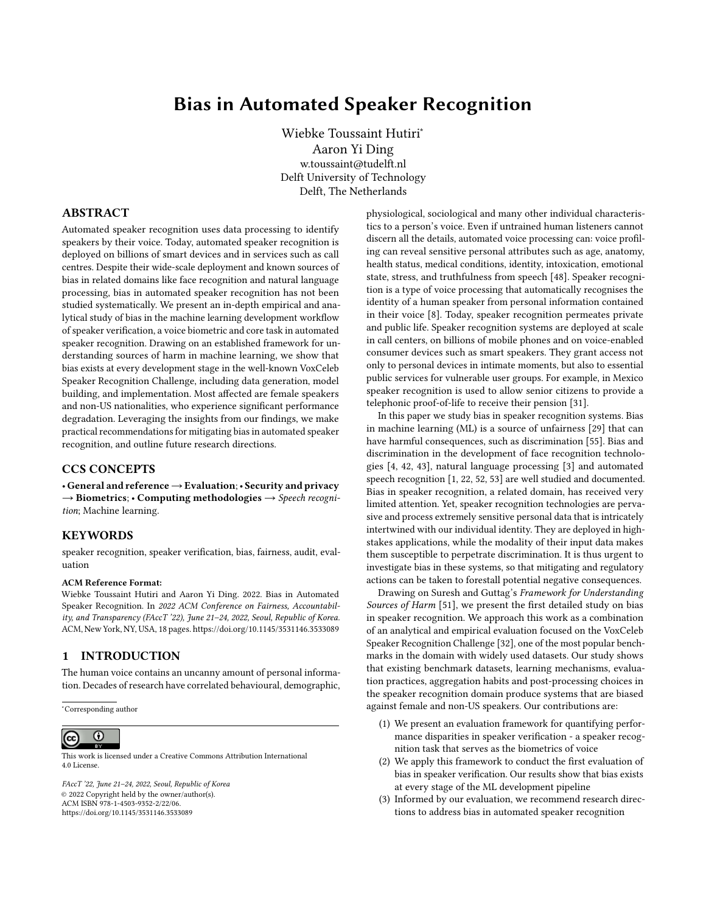(2017). [https://www.isca-speech.org/archive/Interspeech\\_2017/pdfs/0620.PDF](https://www.isca-speech.org/archive/Interspeech_2017/pdfs/0620.PDF)

- [50] David Snyder, Daniel Garcia-Romero, Gregory Sell, Daniel Povey, and Sanjeev Khudanpur. 2018. X-Vectors: Robust DNN Embeddings for Speaker Recognition. In ICASSP, IEEE International Conference on Acoustics, Speech and Signal Processing (ICASSP). IEEE, 5329–5333.
- [51] Harini Suresh and John Guttag. 2021. A Framework for Understanding Sources of Harm throughout the Machine Learning Life Cycle. In EAAMO '21: Equity and Access in Algorithms, Mechanisms, and Optimization .
- [52] Rachael Tatman and Conner Kasten. 2017. Effects of talker dialect, gender & race on accuracy of bing speech and youtube automatic captions. Proceedings of the Annual Conference of the International Speech Communication Association, INTERSPEECH 2017-Augus (2017), 934–938. [https://doi.org/10.21437/Interspeech.](https://doi.org/10.21437/Interspeech.2017-1746) [2017-1746](https://doi.org/10.21437/Interspeech.2017-1746)
- [53] Wiebke Toussaint, Akhil Mathur, Aaron Yi Ding, and Fahim Kawsar. 2021. Characterising the Role of Pre-Processing Parameters in Audio-based Embedded Machine Learning. In The 3rd International Workshop on Challenges in Artificial Intelligence and Machine Learning for Internet of Things (AIChal- lengeIoT 21). Association for Computing Machinery, Coimbra, Portugal, 439–445. [https:](https://doi.org/10.1145/3485730.3493448) [//doi.org/10.1145/3485730.3493448](https://doi.org/10.1145/3485730.3493448)
- [54] Wiebke Toussaint, Akhil Mathur, Fahim Kawsar, and Aaron Yi Ding. 2022. Tiny, always-on and fragile: Bias propagation through design choices in on-device machine learning workflows. (2022), 19 pages.<http://arxiv.org/abs/2201.07677>
- [55] Sandra Wachter, Brent Mittelstadt, and Chris Russell. 2021. Bias Preservation in Machine Learning : The Legality of Fairness Metrics Under EU Non-Discrimination Law. West Virginia Law Review, Forthcoming (2021), 1–51. <https://ssrn.com/abstract=3792772>
- [56] Wikipedia contributors. 2022. List of languages by number of native speakers in India. [https://en.wikipedia.org/wiki/List\\_of\\_languages\\_by\\_number\\_of\\_native\\_](https://en.wikipedia.org/wiki/List_of_languages_by_number_of_native_speakers_in_India) [speakers\\_in\\_India](https://en.wikipedia.org/wiki/List_of_languages_by_number_of_native_speakers_in_India) [Online; accessed 6-May-2022].
- [57] Shu-wen Yang, Po-Han Chi, Yung-Sung Chuang, Cheng-I Jeff Lai, Kushal Lakhotia, Yist Y. Lin, Andy T. Liu, Jiatong Shi, Xuankai Chang, Guan-Ting Lin, Tzu-Hsien Huang, Wei-Cheng Tseng, Ko-tik Lee, Da-Rong Liu, Zili Huang, Shuyan Dong, Shang-Wen Li, Shinji Watanabe, Abdelrahman Mohamed, and Hung-yi Lee. 2021. SUPERB: Speech processing Universal PERformance Benchmark. (2021). <http://arxiv.org/abs/2105.01051>
- [58] Hossein Zeinali, Kong Aik Lee, Jahangir Alam, and Lukas Burget. 2020. Short-duration Speaker Verification (SdSV) Challenge 2021: the Challenge Evaluation Plan. Technical Report. 1–13 pages.<http://arxiv.org/abs/1912.06311>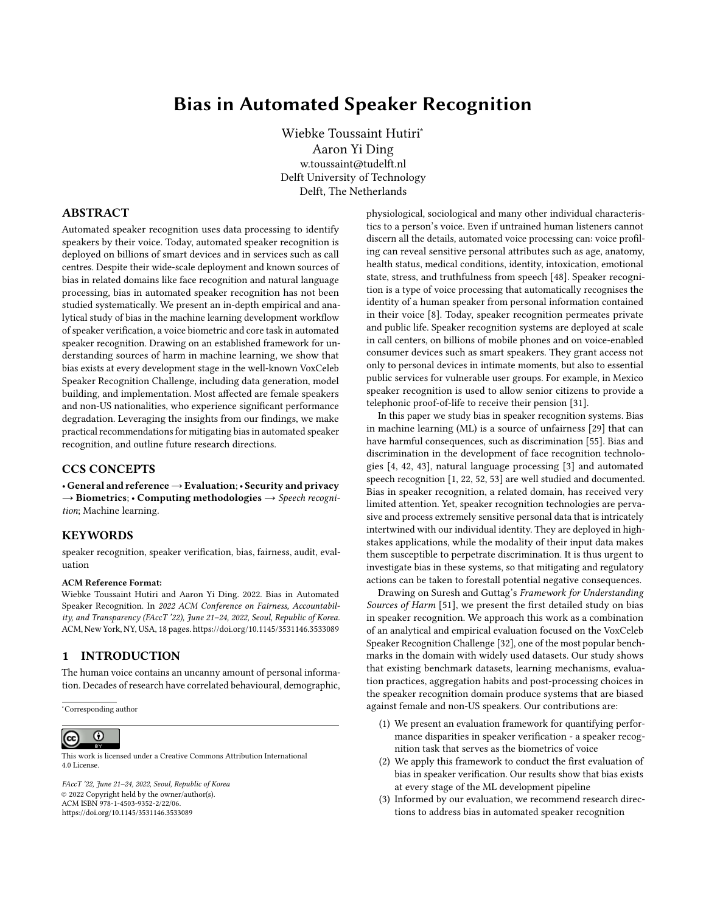### A APPENDIX

A.1 Speaker Verification Evaluation

Example Speaker Verification Output Score Distributions



Figure 6: Distribution of speaker verification scores: blue are same speaker trials, pink are different speaker trials. The dotted lines are possible threshold values. Scores to the left of a threshold are rejected, scores to the right are accepted.

Example Detection Error Trade-off Curves



Figure 7: Detection Error Trade-off (DET) curve of a speaker verification system: the blue line shows false positive and false negative error rates at different score values. For example, at the blue triangle the score = -1.024, FPR = 0.27% and FNR = 10.36%

| Model                            | ResNetSE34V2                                      | ResNetSE34L               |
|----------------------------------|---------------------------------------------------|---------------------------|
| Published in:                    | $[15]$                                            | [5]                       |
| Alternative name in publication: | performance optimised model, H/ASP                | Fast ResNet-34            |
| Additional training procedures:  | data augmentation (noise & room impulse response) |                           |
| Parameters:                      | 8 million                                         | 1.4 million               |
| Frame-level aggregation:         | attentive statistical pooling                     | self-attentive pooling    |
| Loss function:                   | angular portotypical softmax loss                 | angular portotypical loss |
| Input features:                  | 64 dim log Mel filterbanks                        | 40 dim Mel filterbanks    |
| Window (width x step):           | $25ms \times 10ms$                                | $25ms \times 10ms$        |
| Optimized for:                   | predictive performance                            | fast execution            |

Table 3: Attributes of two VoxCeleb SRC baseline models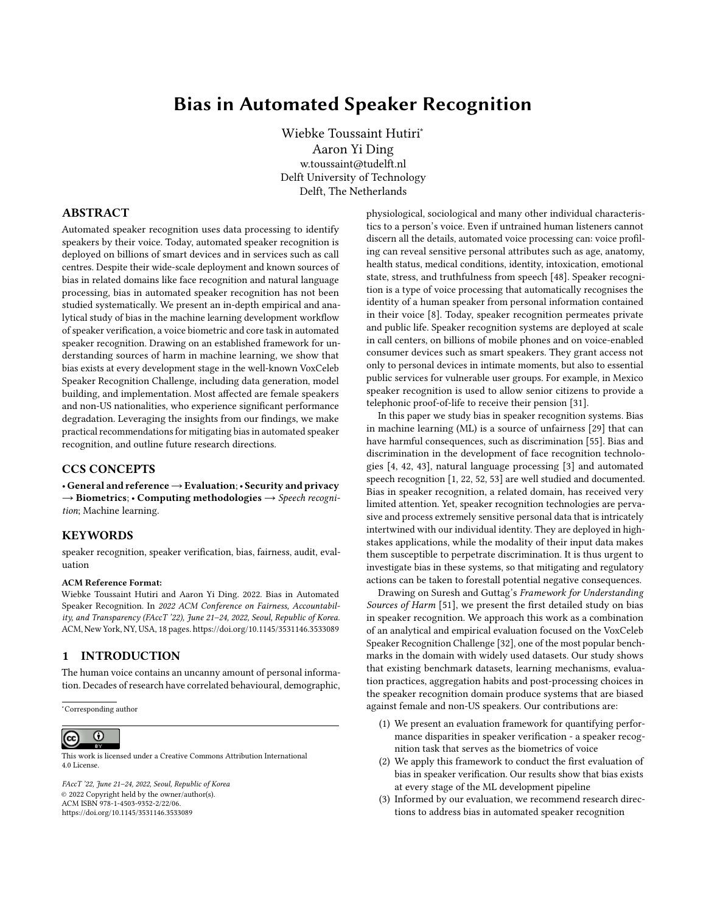# A.2 Representation Bias



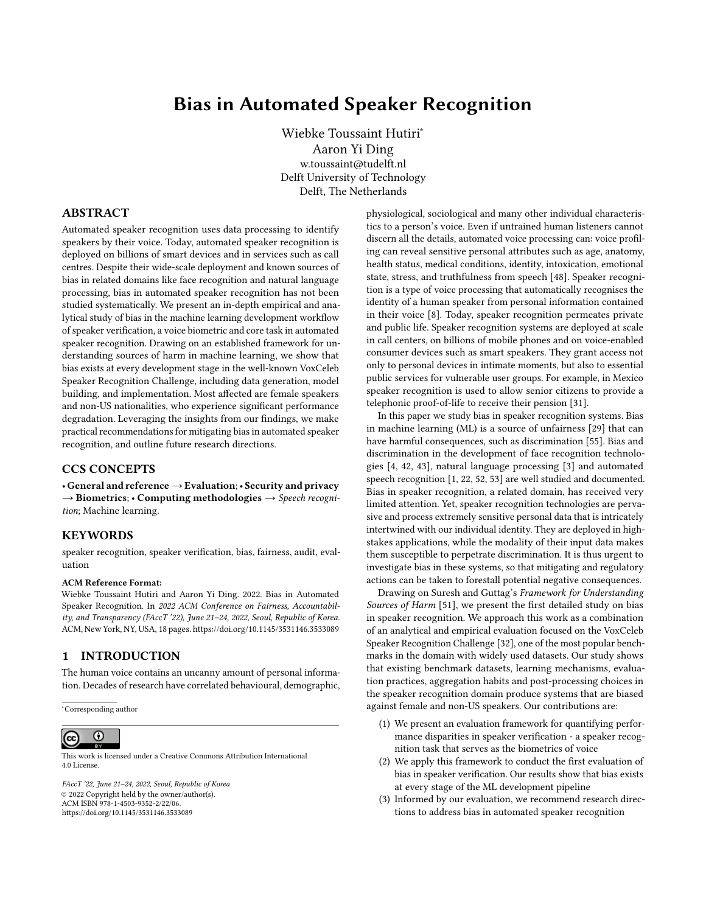# A.3 Evaluation Bias



#### DET Curves for ResNetSE34V2 evaluated on VoxCeleb1-H

Figure 9: ResNetSE34V2 DET curves for speaker subgroups evaluated on the VoxCeleb 1-H evaluation set. The dotted black lines indicate the aggregate overall DET curve across all subgroups.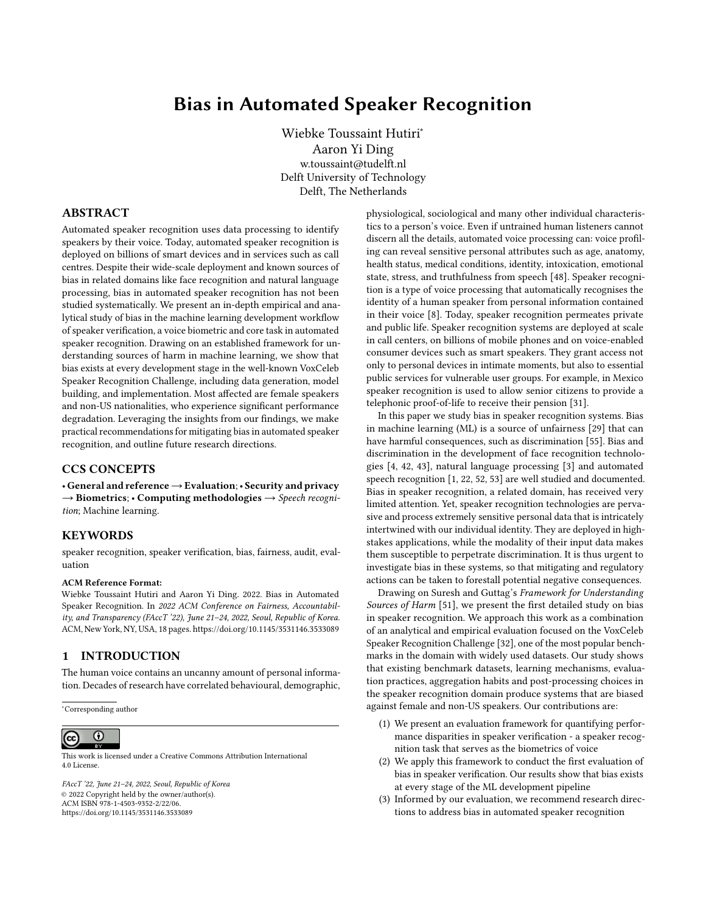# A.4 Learning Bias





Figure 10: Learning bias based on model architecture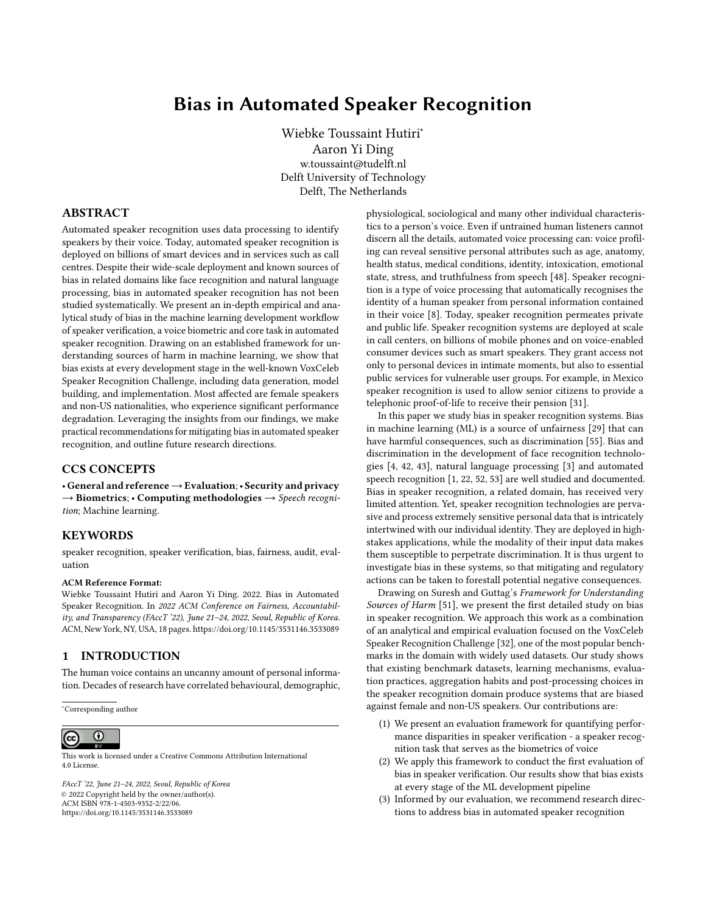| 5<br>0.090<br>0.5768<br>0.090<br>1.0000<br>mexico m           |  |
|---------------------------------------------------------------|--|
| newzealand m<br>0.104<br>0.086<br>6<br>0.6668<br>1.2093       |  |
| ireland f<br>5<br>0.110<br>0.7109<br>0.070<br>1.5714          |  |
| canada m<br>29<br>0.114<br>0.7304<br>0.104<br>1.0962          |  |
| 0.130<br>0.8357<br>0.122<br>1.0656<br>431<br>usa m            |  |
| 25<br>australia m<br>0.140<br>0.9020<br>0.136<br>1.0294       |  |
| usa f<br>0.140<br>1.0143<br>368<br>0.142<br>0.9224            |  |
| $\mathbf{uk\_m}$<br>1.0571<br>127<br>0.148<br>0.9523<br>0.140 |  |
| ireland m<br>13<br>0.160<br>0.162<br>1.0432<br>1.0125         |  |
| australia f<br>12<br>0.178<br>1.1523<br>0.154<br>1.1558       |  |
| india m<br>15<br>1.2200<br>0.144<br>1.3194<br>0.190           |  |
| 5<br>0.208<br>1.3359<br>0.184<br>1.1304<br>germany f          |  |
| canada f<br>25<br>0.224<br>1.4501<br>0.202<br>1.1089          |  |
| uk f<br>88<br>0.226<br>1.4558<br>0.172<br>1.3140              |  |
| 7<br>norway f<br>0.228<br>1.4711<br>0.210<br>1.0857           |  |
| 5<br>italy f<br>1.7827<br>0.104<br>2.6538<br>0.276            |  |
| 13<br>1.0051<br>0.398<br>2.5720<br>0.396<br>norway m          |  |
| india f<br>11<br>0.400<br>2.5766<br>0.318<br>1.2579           |  |

## A.5 Aggregation and Post-processing Deployment Bias

Table 4: Detection costs, subgroup bias and post-processing aggregation bias (see Equation 3) for subgroups at overall and subgroup minimum thresholds with  $C_{Det}^1$  @ o erall min<sup>o0 erall</sup> = 0.154. Subgroups above the horizontal black line have a<br>subgroup higs less than 1 and perform better than average when tuned to Costlage a spell with **Em** subgroup bias less than 1 and perform better than average when tuned to  $C_{Det}$ <sup>1</sup> @ o erall min<sup>o</sup>. Female subgroups are on average subjected to more bias than male subgroups.

threshold bias = 
$$
\frac{C_{Det}}{C_{Det}} \frac{\omega_0 \text{ erall min}}{\omega_0 \text{SG min}}^{SG}
$$
 (3)



#### Figure 11: DET curves and thresholds for male and female speakers of Indian, UK and USA nationalities for ResNetSE34V2 evaluated on the VoxCeleb1-H test set.

Figure 11 shows DET curves and thresholds for ResNetSE34V2 for male and female speakers of Indian, UK and USA nationalities evaluated on *VoxCeleb 1-H*. We use the following conventions: triangle markers show the FPR and FNR at the overall minimum threshold  $\cup_{Det}$   $\emptyset$   $o$  er all min stross markers snow the FPK and FNK at the subgroup minimum threshold  $\cup_{Det}$   $\emptyset$   $SG$  min, and dotted black lines and markers are used for the overall DET curve and threshold. The DET curve  $C_{Det}$  a  $_0$  erall min<sup>SG</sup>, cross markers show the FPR and FNR at the subgroup minimum threshold  $C_{Det}$  a sg min, and dotted black aggregate, indicating that irrespective of the threshold, the model will always perform worse than aggregate for this subgroup. In the operating region around the tuned thresholds, the model also performs worse for female speakers from both the UK and the USA. Being tuned to  $C_{Det}$  @ o erall min does not affect the FNR and improves the FPR of USA female and male speakers. For other speaker subgroups, especially UK females and Indian females and males, either the FPR or the FNR deteriorates significantly when tuned to the overall minimum. For all subgroups the threshold at the subgroup minimum,  $C_{Det}$  @  $_{SG}$  min, shifts the FPR and FNR closer to those of the minimum overall threshold, suggesting that performance will improve when optimising thresholds for subgroups individually.